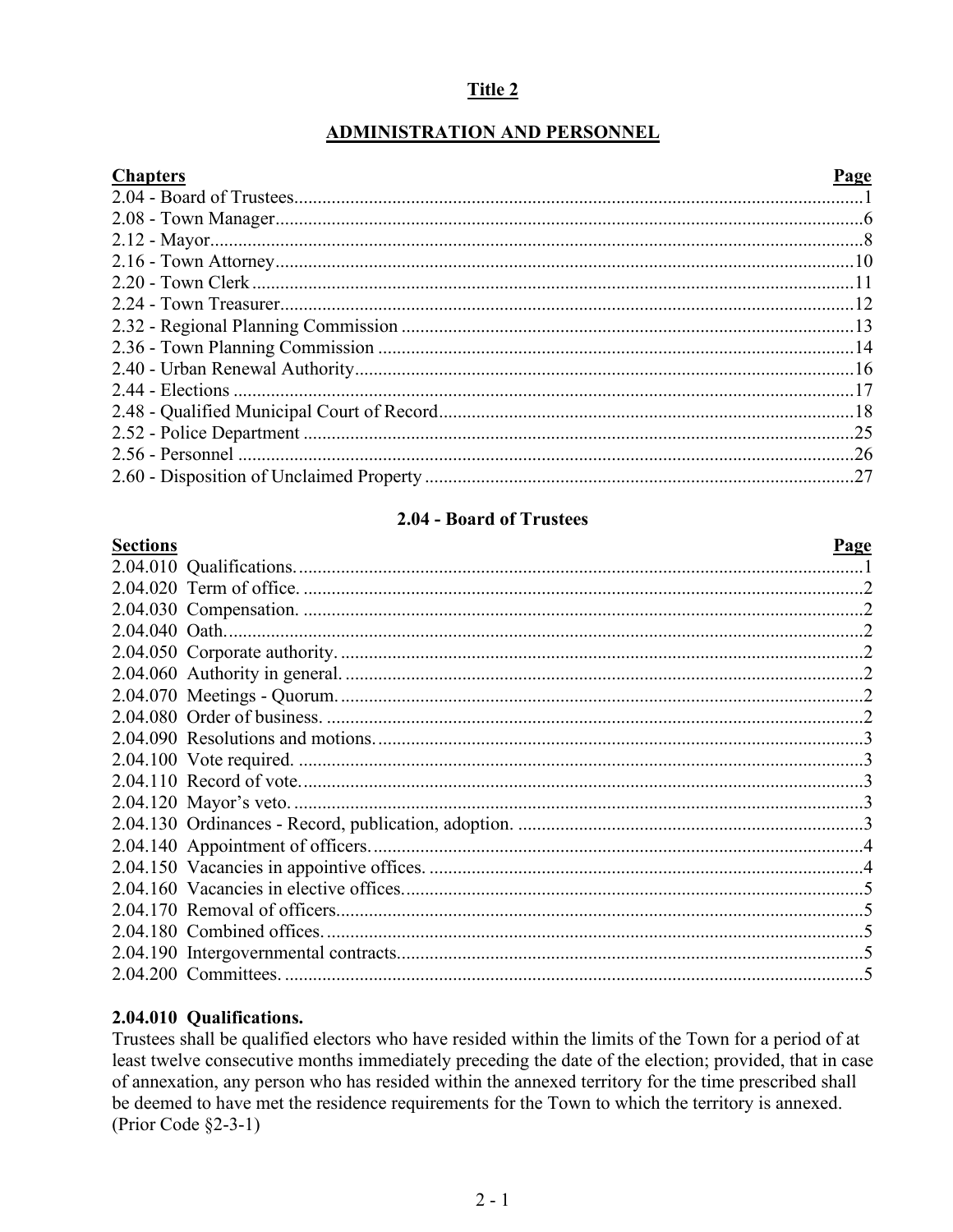### Title 2

# **ADMINISTRATION AND PERSONNEL**

 $\mathbf{r}$ 

| тяпте. |
|--------|
|        |

| Chapters | rage |
|----------|------|
|          |      |
|          |      |
|          |      |
|          |      |
|          |      |
|          |      |
|          |      |
|          |      |
|          |      |
|          |      |
|          |      |
|          |      |
|          |      |
|          |      |
|          |      |

#### 2.04 - Board of Trustees

<span id="page-0-0"></span>

| <b>Sections</b> | Page |
|-----------------|------|
|                 |      |
|                 |      |
|                 |      |
|                 |      |
|                 |      |
|                 |      |
|                 |      |
|                 |      |
|                 |      |
|                 |      |
|                 |      |
|                 |      |
|                 |      |
|                 |      |
|                 |      |
|                 |      |
|                 |      |
|                 |      |
|                 |      |
|                 |      |

### 2.04.010 Qualifications.

Trustees shall be qualified electors who have resided within the limits of the Town for a period of at least twelve consecutive months immediately preceding the date of the election; provided, that in case of annexation, any person who has resided within the annexed territory for the time prescribed shall be deemed to have met the residence requirements for the Town to which the territory is annexed. (Prior Code  $\S$ 2-3-1)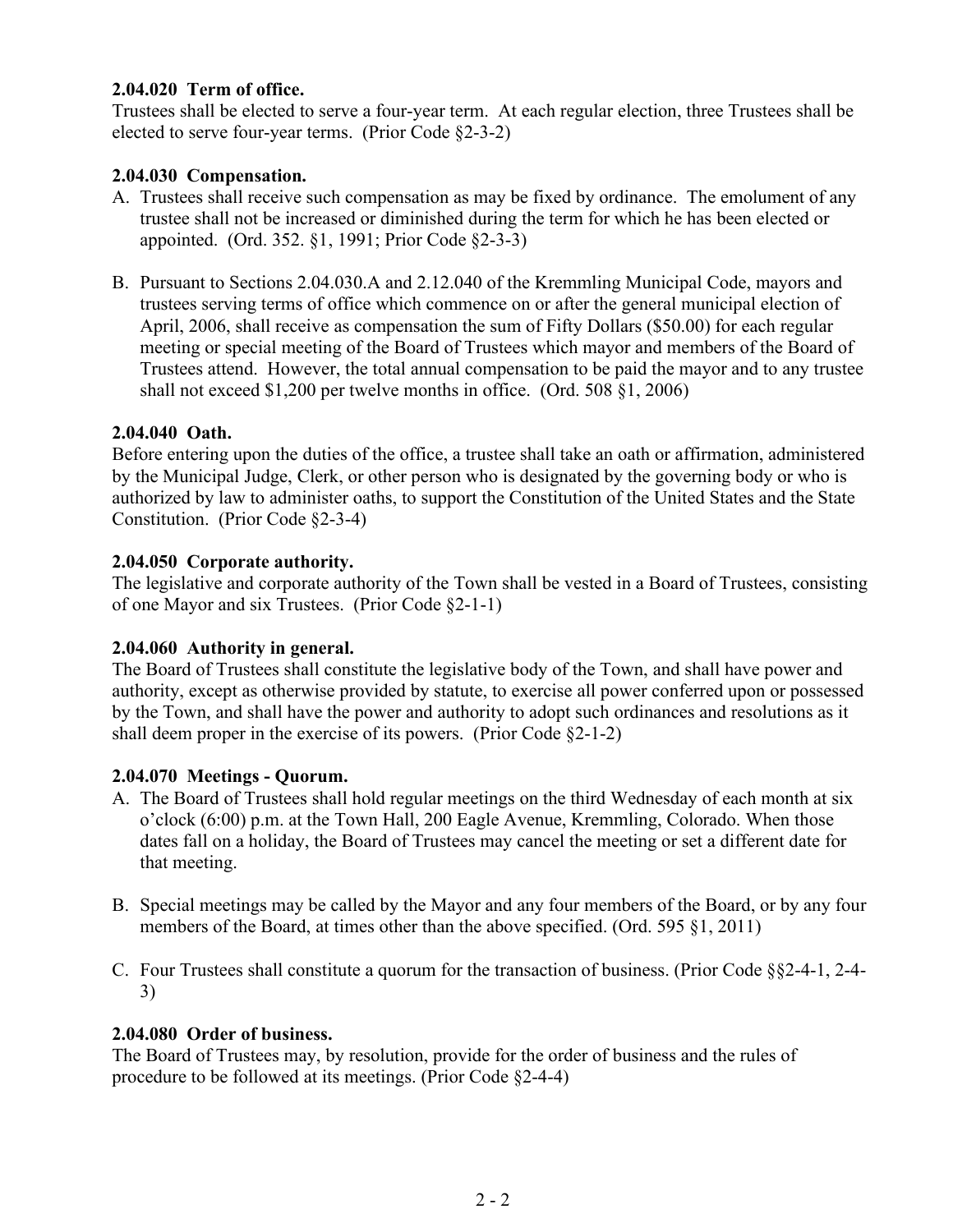#### **2.04.020 Term of office.**

Trustees shall be elected to serve a four-year term. At each regular election, three Trustees shall be elected to serve four-year terms. (Prior Code §2-3-2)

#### **2.04.030 Compensation.**

- A. Trustees shall receive such compensation as may be fixed by ordinance. The emolument of any trustee shall not be increased or diminished during the term for which he has been elected or appointed. (Ord. 352. §1, 1991; Prior Code §2-3-3)
- B. Pursuant to Sections 2.04.030.A and 2.12.040 of the Kremmling Municipal Code, mayors and trustees serving terms of office which commence on or after the general municipal election of April, 2006, shall receive as compensation the sum of Fifty Dollars (\$50.00) for each regular meeting or special meeting of the Board of Trustees which mayor and members of the Board of Trustees attend. However, the total annual compensation to be paid the mayor and to any trustee shall not exceed \$1,200 per twelve months in office. (Ord. 508 §1, 2006)

#### **2.04.040 Oath.**

Before entering upon the duties of the office, a trustee shall take an oath or affirmation, administered by the Municipal Judge, Clerk, or other person who is designated by the governing body or who is authorized by law to administer oaths, to support the Constitution of the United States and the State Constitution. (Prior Code §2-3-4)

#### **2.04.050 Corporate authority.**

The legislative and corporate authority of the Town shall be vested in a Board of Trustees, consisting of one Mayor and six Trustees. (Prior Code §2-1-1)

#### **2.04.060 Authority in general.**

The Board of Trustees shall constitute the legislative body of the Town, and shall have power and authority, except as otherwise provided by statute, to exercise all power conferred upon or possessed by the Town, and shall have the power and authority to adopt such ordinances and resolutions as it shall deem proper in the exercise of its powers. (Prior Code §2-1-2)

#### **2.04.070 Meetings - Quorum.**

- A. The Board of Trustees shall hold regular meetings on the third Wednesday of each month at six o'clock (6:00) p.m. at the Town Hall, 200 Eagle Avenue, Kremmling, Colorado. When those dates fall on a holiday, the Board of Trustees may cancel the meeting or set a different date for that meeting.
- B. Special meetings may be called by the Mayor and any four members of the Board, or by any four members of the Board, at times other than the above specified. (Ord. 595 §1, 2011)
- C. Four Trustees shall constitute a quorum for the transaction of business. (Prior Code §§2-4-1, 2-4- 3)

#### **2.04.080 Order of business.**

The Board of Trustees may, by resolution, provide for the order of business and the rules of procedure to be followed at its meetings. (Prior Code §2-4-4)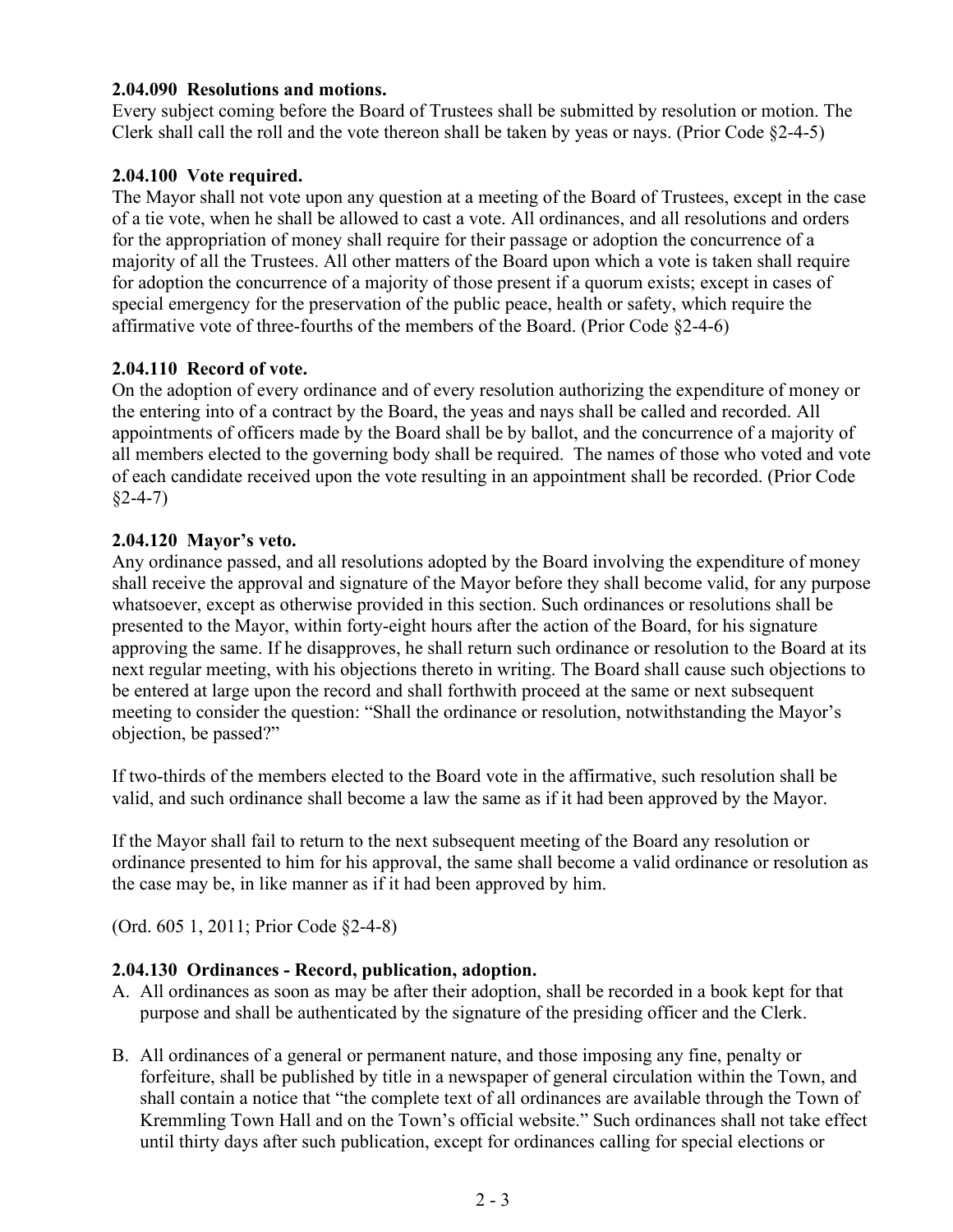#### **2.04.090 Resolutions and motions.**

Every subject coming before the Board of Trustees shall be submitted by resolution or motion. The Clerk shall call the roll and the vote thereon shall be taken by yeas or nays. (Prior Code §2-4-5)

### **2.04.100 Vote required.**

The Mayor shall not vote upon any question at a meeting of the Board of Trustees, except in the case of a tie vote, when he shall be allowed to cast a vote. All ordinances, and all resolutions and orders for the appropriation of money shall require for their passage or adoption the concurrence of a majority of all the Trustees. All other matters of the Board upon which a vote is taken shall require for adoption the concurrence of a majority of those present if a quorum exists; except in cases of special emergency for the preservation of the public peace, health or safety, which require the affirmative vote of three-fourths of the members of the Board. (Prior Code §2-4-6)

#### **2.04.110 Record of vote.**

On the adoption of every ordinance and of every resolution authorizing the expenditure of money or the entering into of a contract by the Board, the yeas and nays shall be called and recorded. All appointments of officers made by the Board shall be by ballot, and the concurrence of a majority of all members elected to the governing body shall be required. The names of those who voted and vote of each candidate received upon the vote resulting in an appointment shall be recorded. (Prior Code  $§2-4-7)$ 

#### **2.04.120 Mayor's veto.**

Any ordinance passed, and all resolutions adopted by the Board involving the expenditure of money shall receive the approval and signature of the Mayor before they shall become valid, for any purpose whatsoever, except as otherwise provided in this section. Such ordinances or resolutions shall be presented to the Mayor, within forty-eight hours after the action of the Board, for his signature approving the same. If he disapproves, he shall return such ordinance or resolution to the Board at its next regular meeting, with his objections thereto in writing. The Board shall cause such objections to be entered at large upon the record and shall forthwith proceed at the same or next subsequent meeting to consider the question: "Shall the ordinance or resolution, notwithstanding the Mayor's objection, be passed?"

If two-thirds of the members elected to the Board vote in the affirmative, such resolution shall be valid, and such ordinance shall become a law the same as if it had been approved by the Mayor.

If the Mayor shall fail to return to the next subsequent meeting of the Board any resolution or ordinance presented to him for his approval, the same shall become a valid ordinance or resolution as the case may be, in like manner as if it had been approved by him.

(Ord. 605 1, 2011; Prior Code §2-4-8)

#### **2.04.130 Ordinances - Record, publication, adoption.**

- A. All ordinances as soon as may be after their adoption, shall be recorded in a book kept for that purpose and shall be authenticated by the signature of the presiding officer and the Clerk.
- B. All ordinances of a general or permanent nature, and those imposing any fine, penalty or forfeiture, shall be published by title in a newspaper of general circulation within the Town, and shall contain a notice that "the complete text of all ordinances are available through the Town of Kremmling Town Hall and on the Town's official website." Such ordinances shall not take effect until thirty days after such publication, except for ordinances calling for special elections or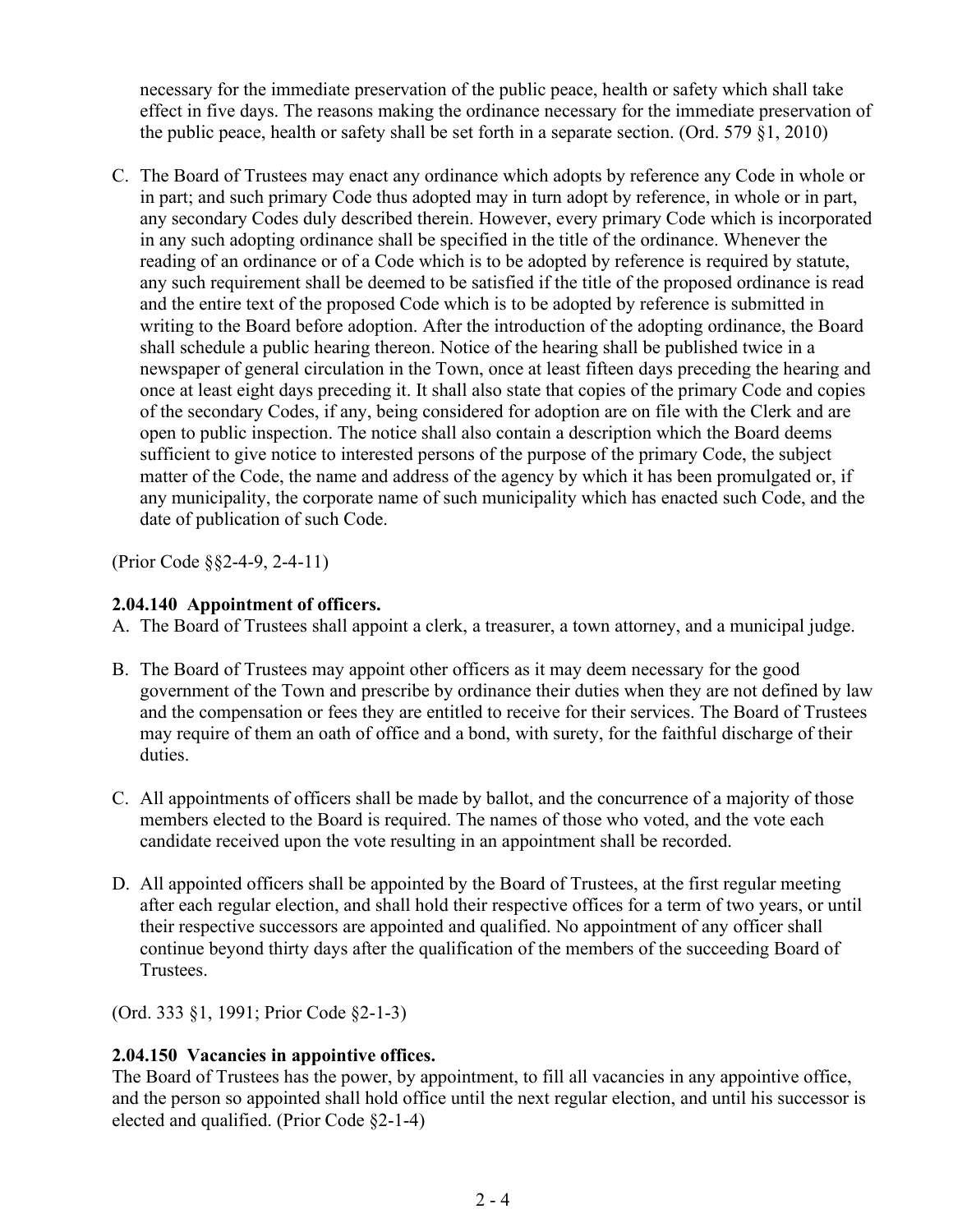necessary for the immediate preservation of the public peace, health or safety which shall take effect in five days. The reasons making the ordinance necessary for the immediate preservation of the public peace, health or safety shall be set forth in a separate section. (Ord. 579 §1, 2010)

C. The Board of Trustees may enact any ordinance which adopts by reference any Code in whole or in part; and such primary Code thus adopted may in turn adopt by reference, in whole or in part, any secondary Codes duly described therein. However, every primary Code which is incorporated in any such adopting ordinance shall be specified in the title of the ordinance. Whenever the reading of an ordinance or of a Code which is to be adopted by reference is required by statute, any such requirement shall be deemed to be satisfied if the title of the proposed ordinance is read and the entire text of the proposed Code which is to be adopted by reference is submitted in writing to the Board before adoption. After the introduction of the adopting ordinance, the Board shall schedule a public hearing thereon. Notice of the hearing shall be published twice in a newspaper of general circulation in the Town, once at least fifteen days preceding the hearing and once at least eight days preceding it. It shall also state that copies of the primary Code and copies of the secondary Codes, if any, being considered for adoption are on file with the Clerk and are open to public inspection. The notice shall also contain a description which the Board deems sufficient to give notice to interested persons of the purpose of the primary Code, the subject matter of the Code, the name and address of the agency by which it has been promulgated or, if any municipality, the corporate name of such municipality which has enacted such Code, and the date of publication of such Code.

(Prior Code §§2-4-9, 2-4-11)

#### **2.04.140 Appointment of officers.**

A. The Board of Trustees shall appoint a clerk, a treasurer, a town attorney, and a municipal judge.

- B. The Board of Trustees may appoint other officers as it may deem necessary for the good government of the Town and prescribe by ordinance their duties when they are not defined by law and the compensation or fees they are entitled to receive for their services. The Board of Trustees may require of them an oath of office and a bond, with surety, for the faithful discharge of their duties.
- C. All appointments of officers shall be made by ballot, and the concurrence of a majority of those members elected to the Board is required. The names of those who voted, and the vote each candidate received upon the vote resulting in an appointment shall be recorded.
- D. All appointed officers shall be appointed by the Board of Trustees, at the first regular meeting after each regular election, and shall hold their respective offices for a term of two years, or until their respective successors are appointed and qualified. No appointment of any officer shall continue beyond thirty days after the qualification of the members of the succeeding Board of Trustees.

(Ord. 333 §1, 1991; Prior Code §2-1-3)

### **2.04.150 Vacancies in appointive offices.**

The Board of Trustees has the power, by appointment, to fill all vacancies in any appointive office, and the person so appointed shall hold office until the next regular election, and until his successor is elected and qualified. (Prior Code §2-1-4)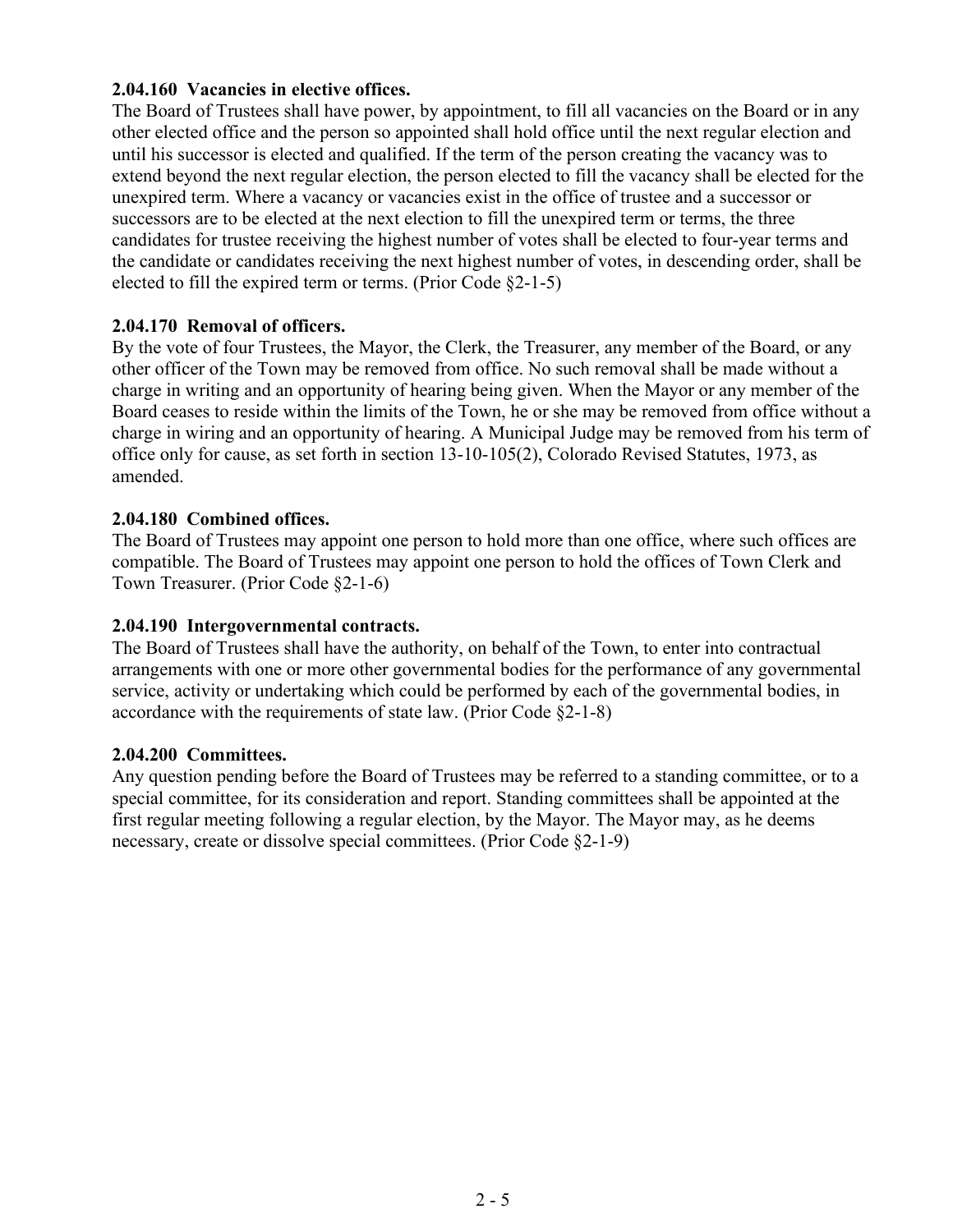#### **2.04.160 Vacancies in elective offices.**

The Board of Trustees shall have power, by appointment, to fill all vacancies on the Board or in any other elected office and the person so appointed shall hold office until the next regular election and until his successor is elected and qualified. If the term of the person creating the vacancy was to extend beyond the next regular election, the person elected to fill the vacancy shall be elected for the unexpired term. Where a vacancy or vacancies exist in the office of trustee and a successor or successors are to be elected at the next election to fill the unexpired term or terms, the three candidates for trustee receiving the highest number of votes shall be elected to four-year terms and the candidate or candidates receiving the next highest number of votes, in descending order, shall be elected to fill the expired term or terms. (Prior Code §2-1-5)

### **2.04.170 Removal of officers.**

By the vote of four Trustees, the Mayor, the Clerk, the Treasurer, any member of the Board, or any other officer of the Town may be removed from office. No such removal shall be made without a charge in writing and an opportunity of hearing being given. When the Mayor or any member of the Board ceases to reside within the limits of the Town, he or she may be removed from office without a charge in wiring and an opportunity of hearing. A Municipal Judge may be removed from his term of office only for cause, as set forth in section 13-10-105(2), Colorado Revised Statutes, 1973, as amended.

#### **2.04.180 Combined offices.**

The Board of Trustees may appoint one person to hold more than one office, where such offices are compatible. The Board of Trustees may appoint one person to hold the offices of Town Clerk and Town Treasurer. (Prior Code §2-1-6)

#### **2.04.190 Intergovernmental contracts.**

The Board of Trustees shall have the authority, on behalf of the Town, to enter into contractual arrangements with one or more other governmental bodies for the performance of any governmental service, activity or undertaking which could be performed by each of the governmental bodies, in accordance with the requirements of state law. (Prior Code §2-1-8)

#### **2.04.200 Committees.**

Any question pending before the Board of Trustees may be referred to a standing committee, or to a special committee, for its consideration and report. Standing committees shall be appointed at the first regular meeting following a regular election, by the Mayor. The Mayor may, as he deems necessary, create or dissolve special committees. (Prior Code §2-1-9)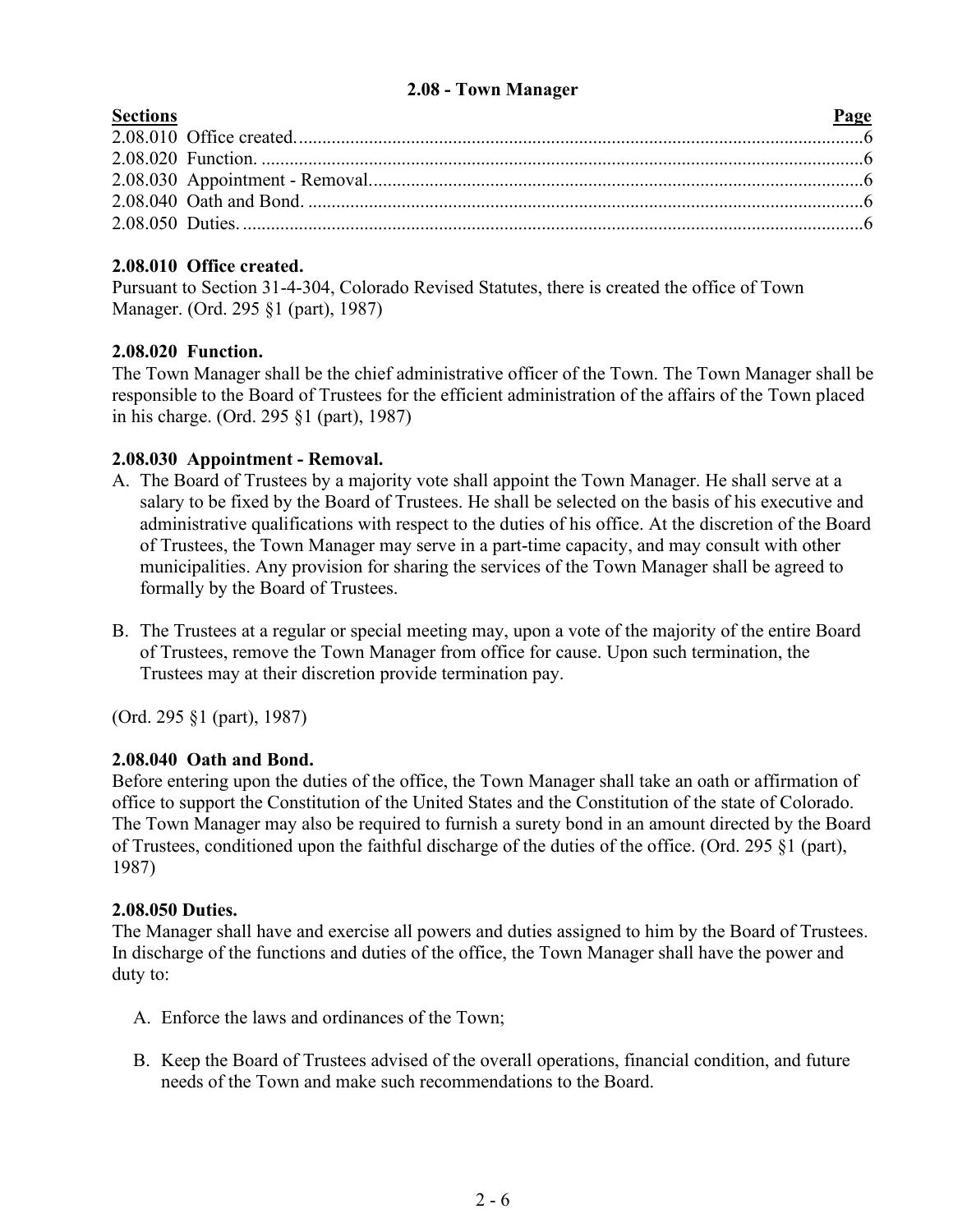#### **2.08 - Town Manager**

<span id="page-5-0"></span>

| <b>Sections</b> | Page |
|-----------------|------|
|                 |      |
|                 |      |
|                 |      |
|                 |      |
|                 |      |
|                 |      |

## **2.08.010 Office created.**

Pursuant to Section 31-4-304, Colorado Revised Statutes, there is created the office of Town Manager. (Ord. 295 §1 (part), 1987)

### **2.08.020 Function.**

The Town Manager shall be the chief administrative officer of the Town. The Town Manager shall be responsible to the Board of Trustees for the efficient administration of the affairs of the Town placed in his charge. (Ord. 295 §1 (part), 1987)

### **2.08.030 Appointment - Removal.**

- A. The Board of Trustees by a majority vote shall appoint the Town Manager. He shall serve at a salary to be fixed by the Board of Trustees. He shall be selected on the basis of his executive and administrative qualifications with respect to the duties of his office. At the discretion of the Board of Trustees, the Town Manager may serve in a part-time capacity, and may consult with other municipalities. Any provision for sharing the services of the Town Manager shall be agreed to formally by the Board of Trustees.
- B. The Trustees at a regular or special meeting may, upon a vote of the majority of the entire Board of Trustees, remove the Town Manager from office for cause. Upon such termination, the Trustees may at their discretion provide termination pay.

(Ord. 295 §1 (part), 1987)

# **2.08.040 Oath and Bond.**

Before entering upon the duties of the office, the Town Manager shall take an oath or affirmation of office to support the Constitution of the United States and the Constitution of the state of Colorado. The Town Manager may also be required to furnish a surety bond in an amount directed by the Board of Trustees, conditioned upon the faithful discharge of the duties of the office. (Ord. 295 §1 (part), 1987)

### **2.08.050 Duties.**

The Manager shall have and exercise all powers and duties assigned to him by the Board of Trustees. In discharge of the functions and duties of the office, the Town Manager shall have the power and duty to:

- A. Enforce the laws and ordinances of the Town;
- B. Keep the Board of Trustees advised of the overall operations, financial condition, and future needs of the Town and make such recommendations to the Board.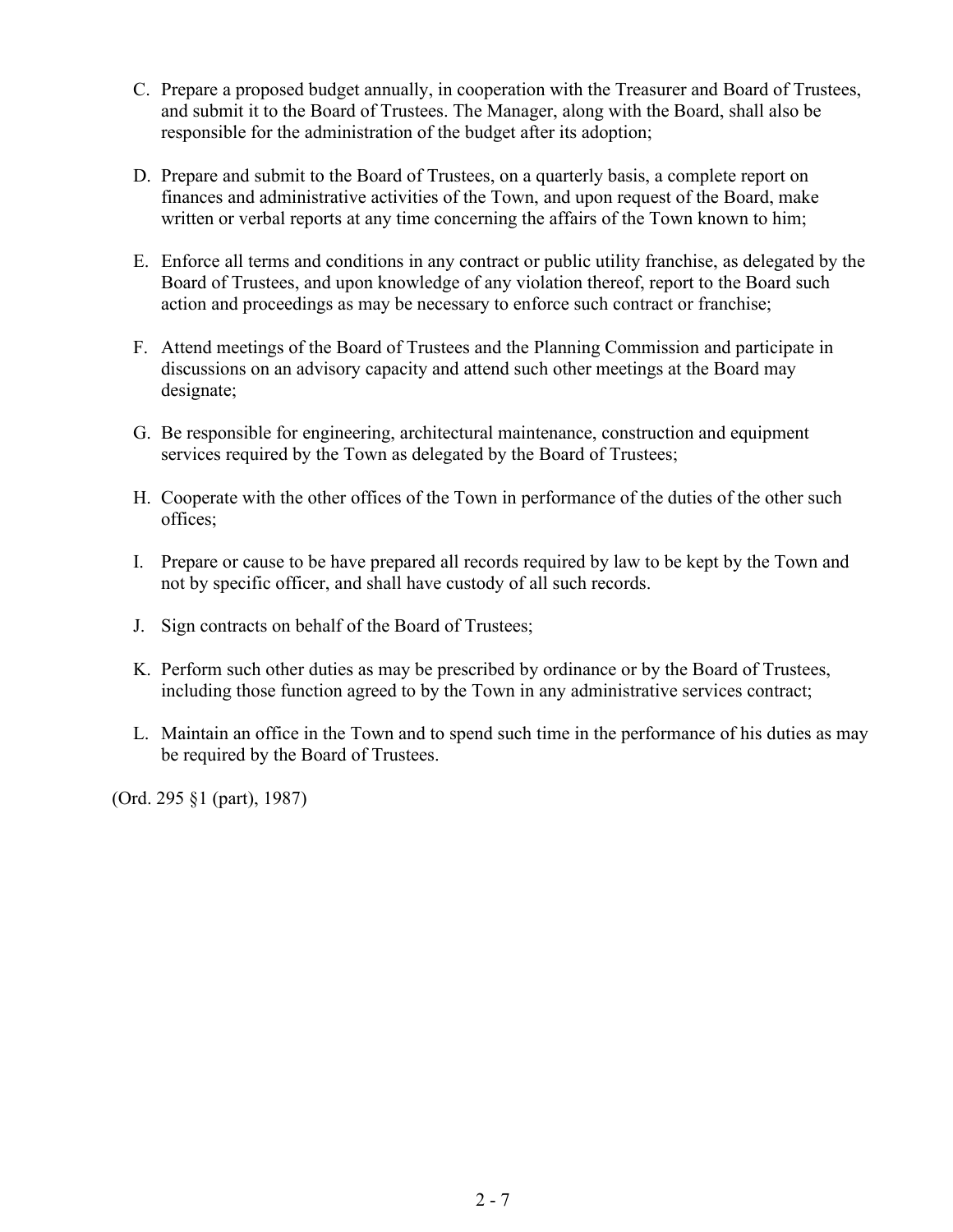- C. Prepare a proposed budget annually, in cooperation with the Treasurer and Board of Trustees, and submit it to the Board of Trustees. The Manager, along with the Board, shall also be responsible for the administration of the budget after its adoption;
- D. Prepare and submit to the Board of Trustees, on a quarterly basis, a complete report on finances and administrative activities of the Town, and upon request of the Board, make written or verbal reports at any time concerning the affairs of the Town known to him;
- E. Enforce all terms and conditions in any contract or public utility franchise, as delegated by the Board of Trustees, and upon knowledge of any violation thereof, report to the Board such action and proceedings as may be necessary to enforce such contract or franchise;
- F. Attend meetings of the Board of Trustees and the Planning Commission and participate in discussions on an advisory capacity and attend such other meetings at the Board may designate;
- G. Be responsible for engineering, architectural maintenance, construction and equipment services required by the Town as delegated by the Board of Trustees;
- H. Cooperate with the other offices of the Town in performance of the duties of the other such offices;
- I. Prepare or cause to be have prepared all records required by law to be kept by the Town and not by specific officer, and shall have custody of all such records.
- J. Sign contracts on behalf of the Board of Trustees;
- K. Perform such other duties as may be prescribed by ordinance or by the Board of Trustees, including those function agreed to by the Town in any administrative services contract;
- L. Maintain an office in the Town and to spend such time in the performance of his duties as may be required by the Board of Trustees.

(Ord. 295 §1 (part), 1987)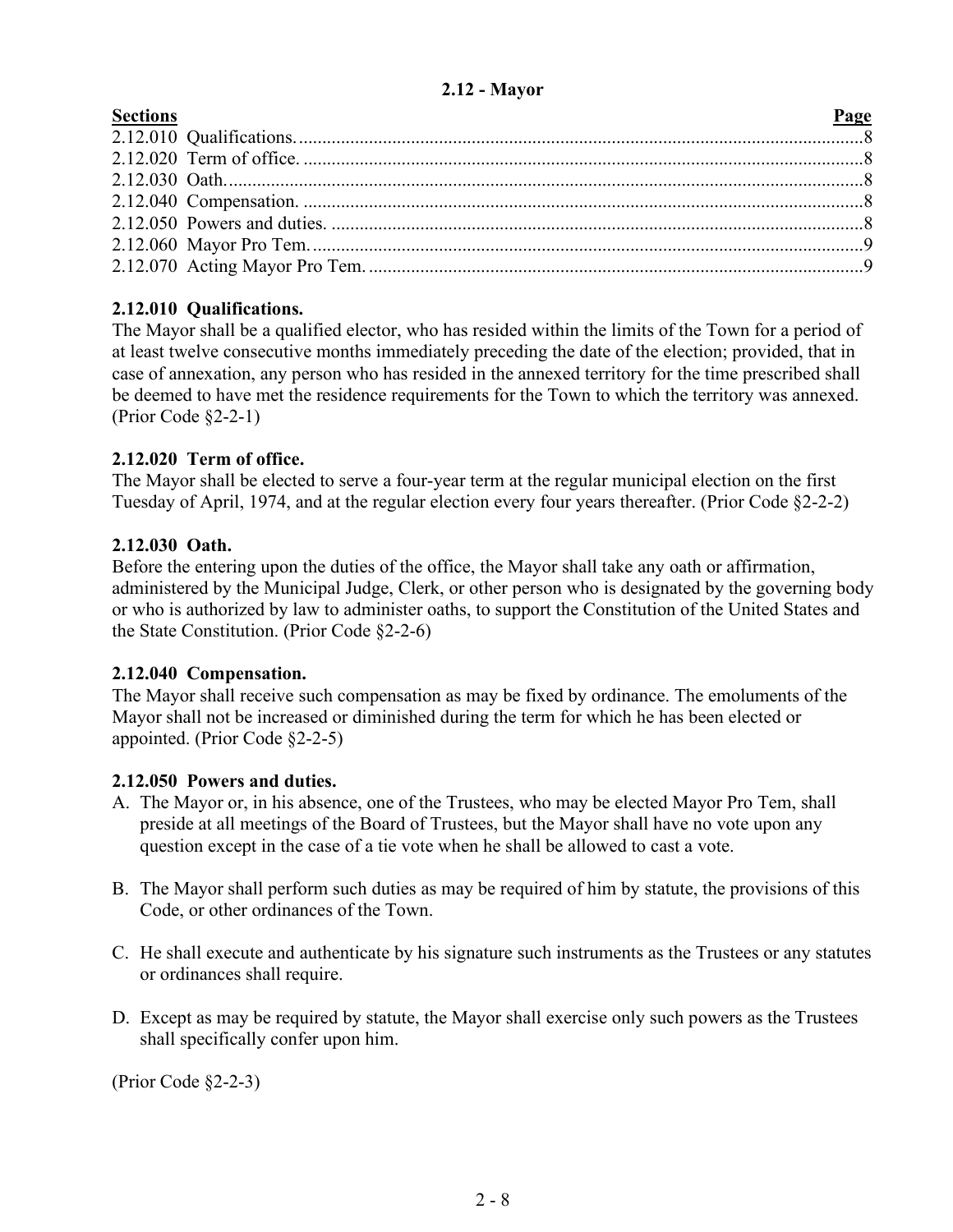## **2.12 - Mayor**

<span id="page-7-0"></span>

# **2.12.010 Qualifications.**

The Mayor shall be a qualified elector, who has resided within the limits of the Town for a period of at least twelve consecutive months immediately preceding the date of the election; provided, that in case of annexation, any person who has resided in the annexed territory for the time prescribed shall be deemed to have met the residence requirements for the Town to which the territory was annexed. (Prior Code §2-2-1)

## **2.12.020 Term of office.**

The Mayor shall be elected to serve a four-year term at the regular municipal election on the first Tuesday of April, 1974, and at the regular election every four years thereafter. (Prior Code §2-2-2)

### **2.12.030 Oath.**

Before the entering upon the duties of the office, the Mayor shall take any oath or affirmation, administered by the Municipal Judge, Clerk, or other person who is designated by the governing body or who is authorized by law to administer oaths, to support the Constitution of the United States and the State Constitution. (Prior Code §2-2-6)

### **2.12.040 Compensation.**

The Mayor shall receive such compensation as may be fixed by ordinance. The emoluments of the Mayor shall not be increased or diminished during the term for which he has been elected or appointed. (Prior Code §2-2-5)

### **2.12.050 Powers and duties.**

- A. The Mayor or, in his absence, one of the Trustees, who may be elected Mayor Pro Tem, shall preside at all meetings of the Board of Trustees, but the Mayor shall have no vote upon any question except in the case of a tie vote when he shall be allowed to cast a vote.
- B. The Mayor shall perform such duties as may be required of him by statute, the provisions of this Code, or other ordinances of the Town.
- C. He shall execute and authenticate by his signature such instruments as the Trustees or any statutes or ordinances shall require.
- D. Except as may be required by statute, the Mayor shall exercise only such powers as the Trustees shall specifically confer upon him.

(Prior Code §2-2-3)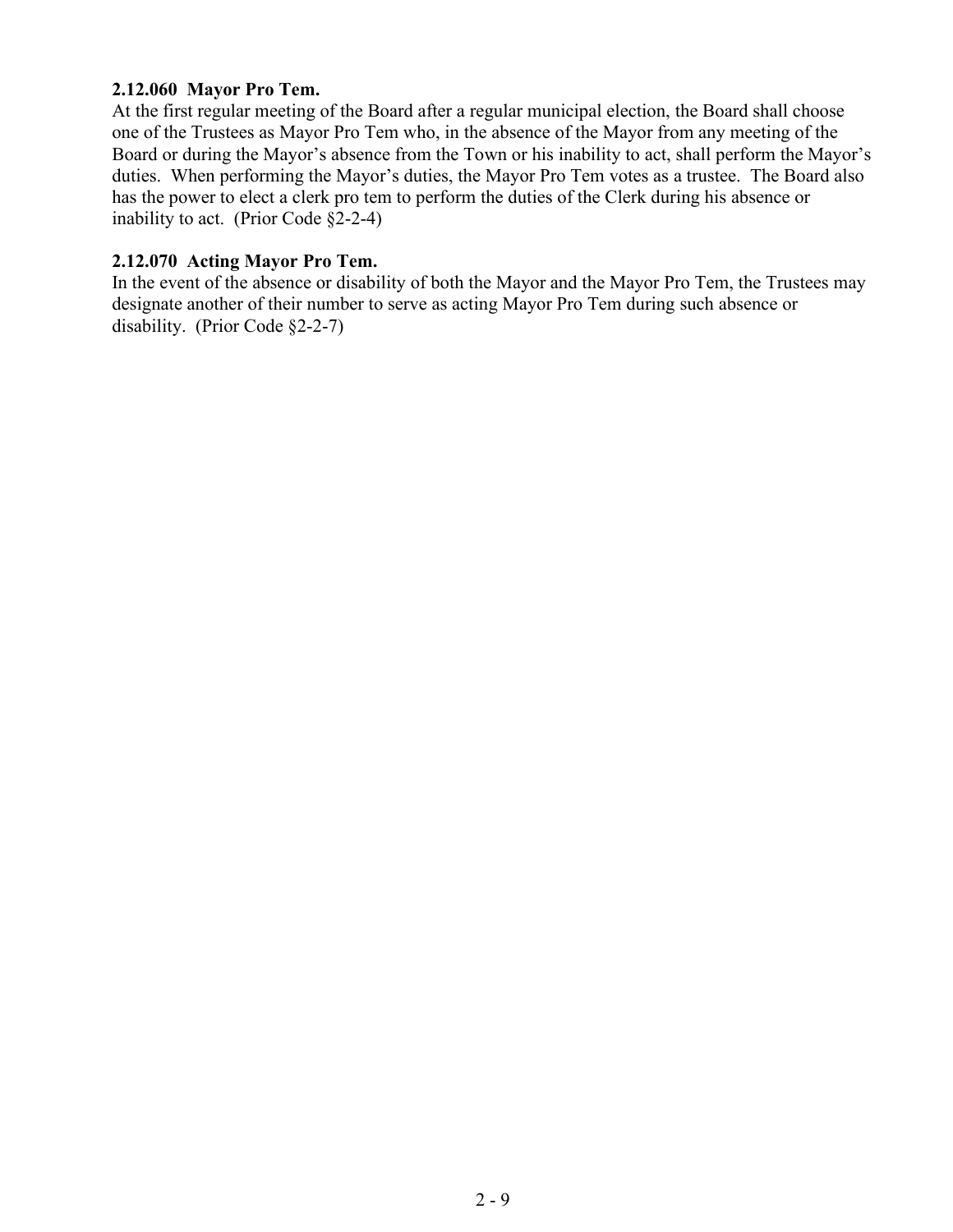#### **2.12.060 Mayor Pro Tem.**

At the first regular meeting of the Board after a regular municipal election, the Board shall choose one of the Trustees as Mayor Pro Tem who, in the absence of the Mayor from any meeting of the Board or during the Mayor's absence from the Town or his inability to act, shall perform the Mayor's duties. When performing the Mayor's duties, the Mayor Pro Tem votes as a trustee. The Board also has the power to elect a clerk pro tem to perform the duties of the Clerk during his absence or inability to act. (Prior Code §2-2-4)

#### **2.12.070 Acting Mayor Pro Tem.**

In the event of the absence or disability of both the Mayor and the Mayor Pro Tem, the Trustees may designate another of their number to serve as acting Mayor Pro Tem during such absence or disability. (Prior Code §2-2-7)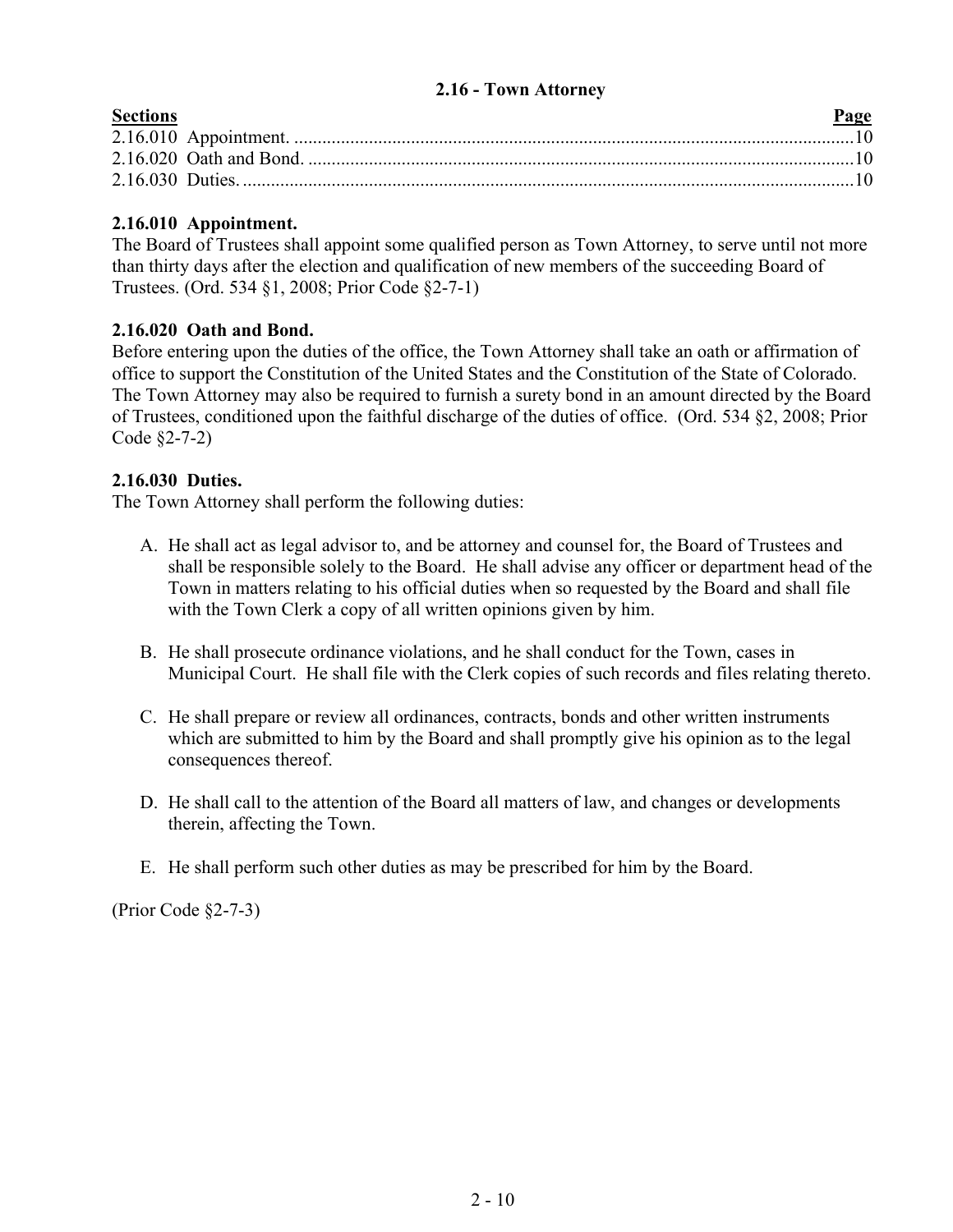### <span id="page-9-0"></span>**2.16 - Town Attorney**

| <b>Sections</b> | Page |
|-----------------|------|
|                 |      |
|                 |      |
|                 |      |
|                 |      |

### **2.16.010 Appointment.**

The Board of Trustees shall appoint some qualified person as Town Attorney, to serve until not more than thirty days after the election and qualification of new members of the succeeding Board of Trustees. (Ord. 534 §1, 2008; Prior Code §2-7-1)

### **2.16.020 Oath and Bond.**

Before entering upon the duties of the office, the Town Attorney shall take an oath or affirmation of office to support the Constitution of the United States and the Constitution of the State of Colorado. The Town Attorney may also be required to furnish a surety bond in an amount directed by the Board of Trustees, conditioned upon the faithful discharge of the duties of office. (Ord. 534 §2, 2008; Prior Code §2-7-2)

## **2.16.030 Duties.**

The Town Attorney shall perform the following duties:

- A. He shall act as legal advisor to, and be attorney and counsel for, the Board of Trustees and shall be responsible solely to the Board. He shall advise any officer or department head of the Town in matters relating to his official duties when so requested by the Board and shall file with the Town Clerk a copy of all written opinions given by him.
- B. He shall prosecute ordinance violations, and he shall conduct for the Town, cases in Municipal Court. He shall file with the Clerk copies of such records and files relating thereto.
- C. He shall prepare or review all ordinances, contracts, bonds and other written instruments which are submitted to him by the Board and shall promptly give his opinion as to the legal consequences thereof.
- D. He shall call to the attention of the Board all matters of law, and changes or developments therein, affecting the Town.
- E. He shall perform such other duties as may be prescribed for him by the Board.

(Prior Code §2-7-3)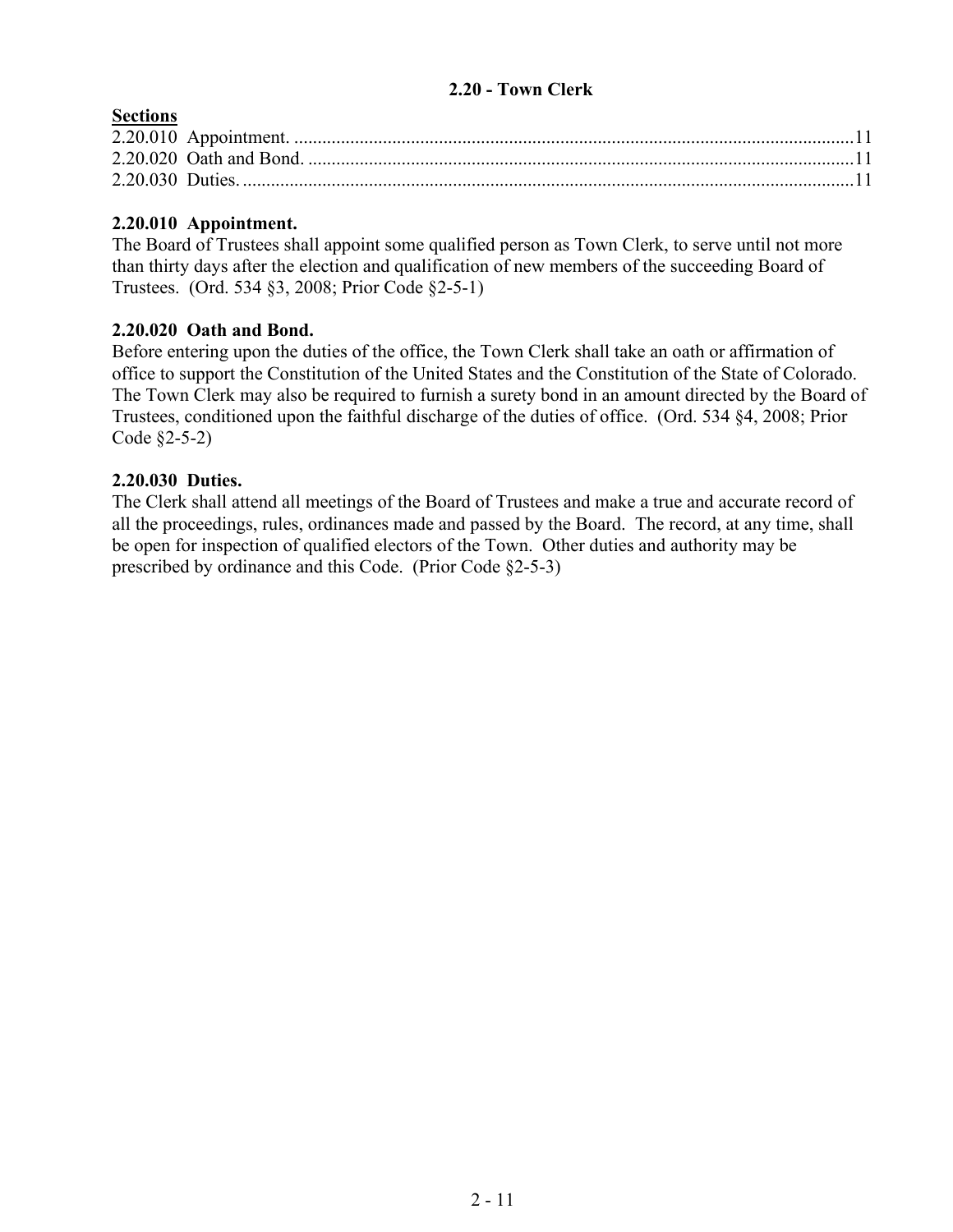## <span id="page-10-0"></span>**2.20 - Town Clerk**

### **Sections**

## **2.20.010 Appointment.**

The Board of Trustees shall appoint some qualified person as Town Clerk, to serve until not more than thirty days after the election and qualification of new members of the succeeding Board of Trustees. (Ord. 534 §3, 2008; Prior Code §2-5-1)

### **2.20.020 Oath and Bond.**

Before entering upon the duties of the office, the Town Clerk shall take an oath or affirmation of office to support the Constitution of the United States and the Constitution of the State of Colorado. The Town Clerk may also be required to furnish a surety bond in an amount directed by the Board of Trustees, conditioned upon the faithful discharge of the duties of office. (Ord. 534 §4, 2008; Prior Code §2-5-2)

### **2.20.030 Duties.**

The Clerk shall attend all meetings of the Board of Trustees and make a true and accurate record of all the proceedings, rules, ordinances made and passed by the Board. The record, at any time, shall be open for inspection of qualified electors of the Town. Other duties and authority may be prescribed by ordinance and this Code. (Prior Code §2-5-3)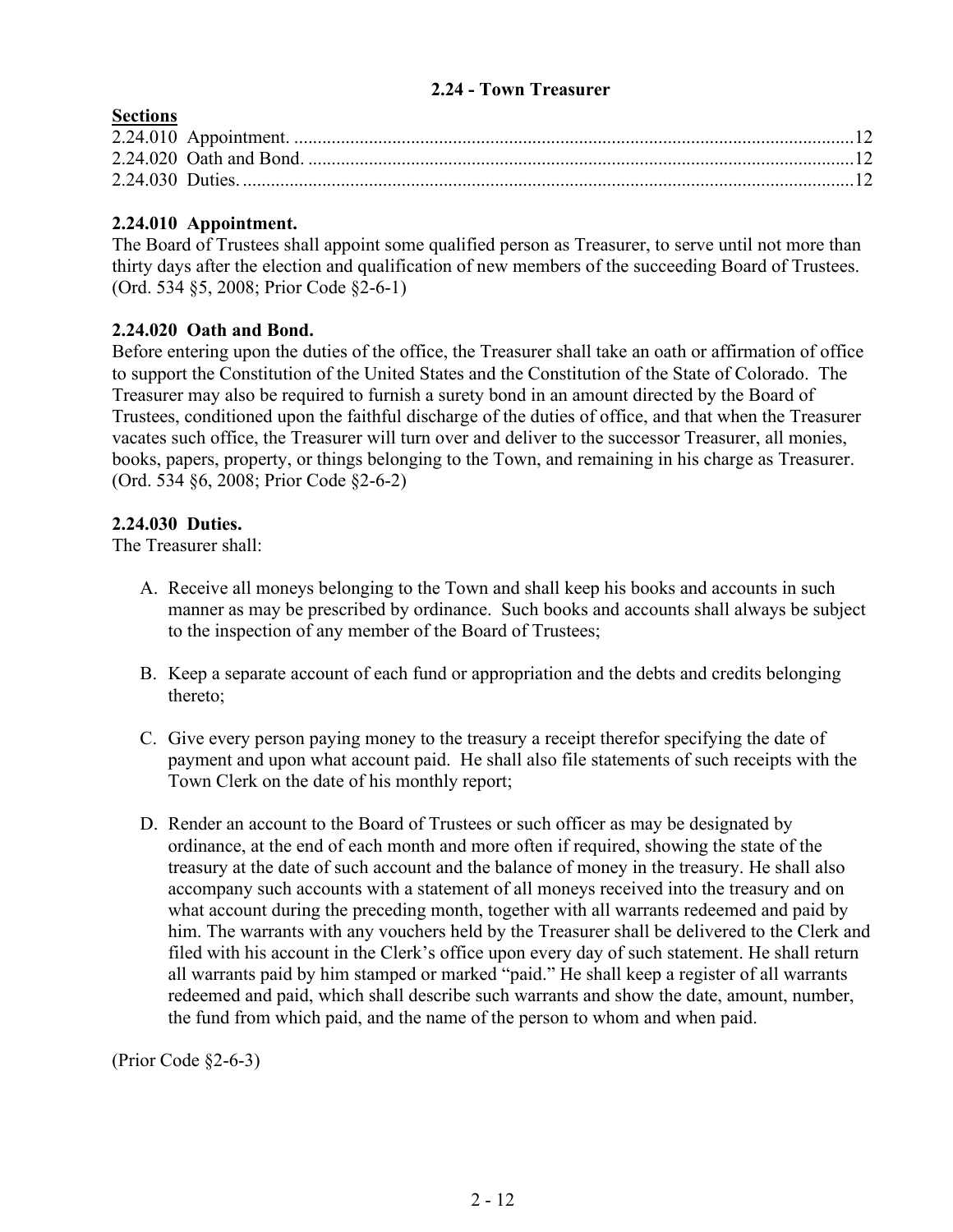#### <span id="page-11-0"></span>**2.24 - Town Treasurer**

## **Sections**

## **2.24.010 Appointment.**

The Board of Trustees shall appoint some qualified person as Treasurer, to serve until not more than thirty days after the election and qualification of new members of the succeeding Board of Trustees. (Ord. 534 §5, 2008; Prior Code §2-6-1)

## **2.24.020 Oath and Bond.**

Before entering upon the duties of the office, the Treasurer shall take an oath or affirmation of office to support the Constitution of the United States and the Constitution of the State of Colorado. The Treasurer may also be required to furnish a surety bond in an amount directed by the Board of Trustees, conditioned upon the faithful discharge of the duties of office, and that when the Treasurer vacates such office, the Treasurer will turn over and deliver to the successor Treasurer, all monies, books, papers, property, or things belonging to the Town, and remaining in his charge as Treasurer. (Ord. 534 §6, 2008; Prior Code §2-6-2)

## **2.24.030 Duties.**

The Treasurer shall:

- A. Receive all moneys belonging to the Town and shall keep his books and accounts in such manner as may be prescribed by ordinance. Such books and accounts shall always be subject to the inspection of any member of the Board of Trustees;
- B. Keep a separate account of each fund or appropriation and the debts and credits belonging thereto;
- C. Give every person paying money to the treasury a receipt therefor specifying the date of payment and upon what account paid. He shall also file statements of such receipts with the Town Clerk on the date of his monthly report;
- D. Render an account to the Board of Trustees or such officer as may be designated by ordinance, at the end of each month and more often if required, showing the state of the treasury at the date of such account and the balance of money in the treasury. He shall also accompany such accounts with a statement of all moneys received into the treasury and on what account during the preceding month, together with all warrants redeemed and paid by him. The warrants with any vouchers held by the Treasurer shall be delivered to the Clerk and filed with his account in the Clerk's office upon every day of such statement. He shall return all warrants paid by him stamped or marked "paid." He shall keep a register of all warrants redeemed and paid, which shall describe such warrants and show the date, amount, number, the fund from which paid, and the name of the person to whom and when paid.

(Prior Code §2-6-3)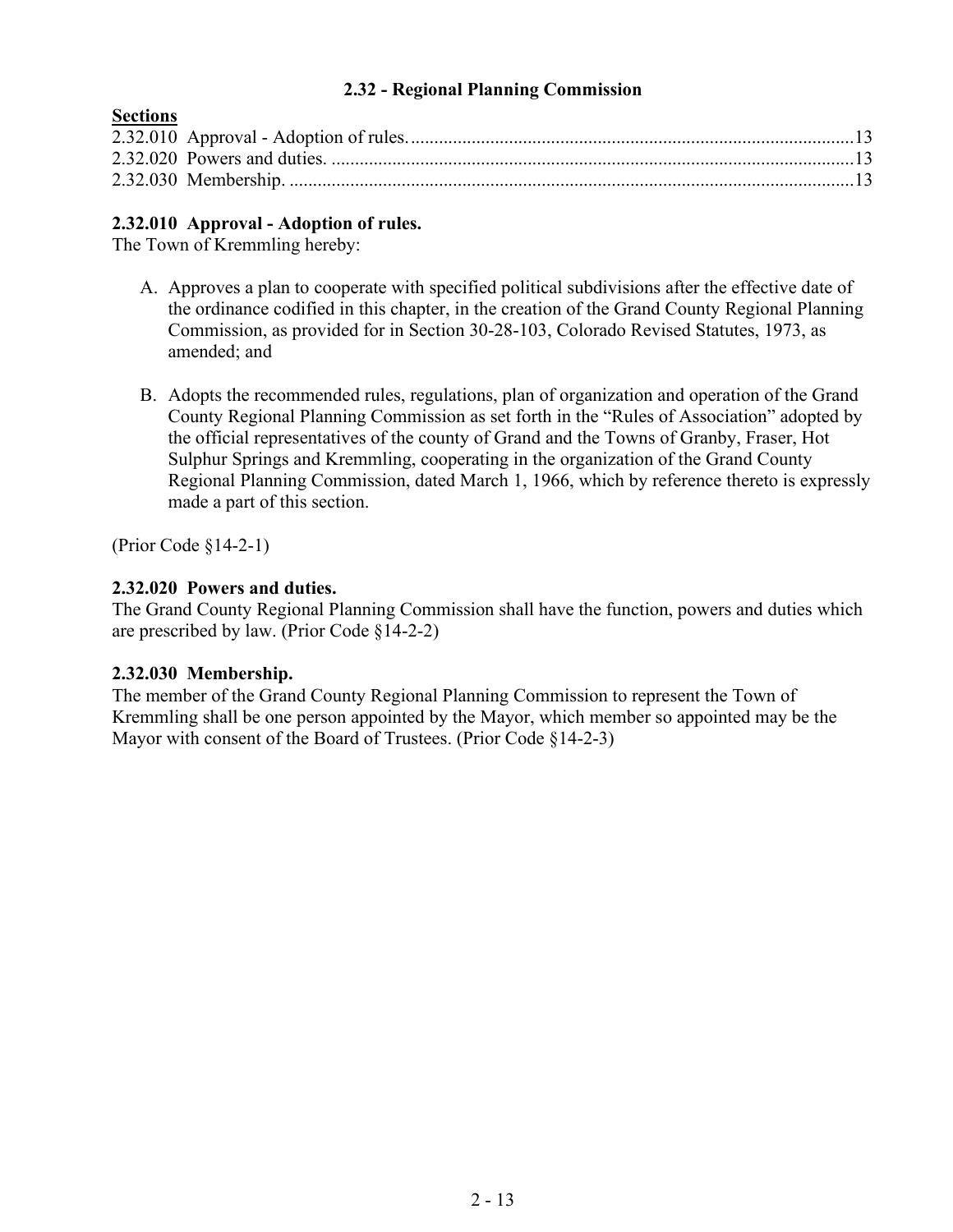## **2.32 - Regional Planning Commission**

| $oct thus$ |  |
|------------|--|
|            |  |
|            |  |
|            |  |
|            |  |

## **2.32.010 Approval - Adoption of rules.**

The Town of Kremmling hereby:

<span id="page-12-0"></span>**Sections**

- A. Approves a plan to cooperate with specified political subdivisions after the effective date of the ordinance codified in this chapter, in the creation of the Grand County Regional Planning Commission, as provided for in Section 30-28-103, Colorado Revised Statutes, 1973, as amended; and
- B. Adopts the recommended rules, regulations, plan of organization and operation of the Grand County Regional Planning Commission as set forth in the "Rules of Association" adopted by the official representatives of the county of Grand and the Towns of Granby, Fraser, Hot Sulphur Springs and Kremmling, cooperating in the organization of the Grand County Regional Planning Commission, dated March 1, 1966, which by reference thereto is expressly made a part of this section.

(Prior Code §14-2-1)

## **2.32.020 Powers and duties.**

The Grand County Regional Planning Commission shall have the function, powers and duties which are prescribed by law. (Prior Code §14-2-2)

### **2.32.030 Membership.**

The member of the Grand County Regional Planning Commission to represent the Town of Kremmling shall be one person appointed by the Mayor, which member so appointed may be the Mayor with consent of the Board of Trustees. (Prior Code §14-2-3)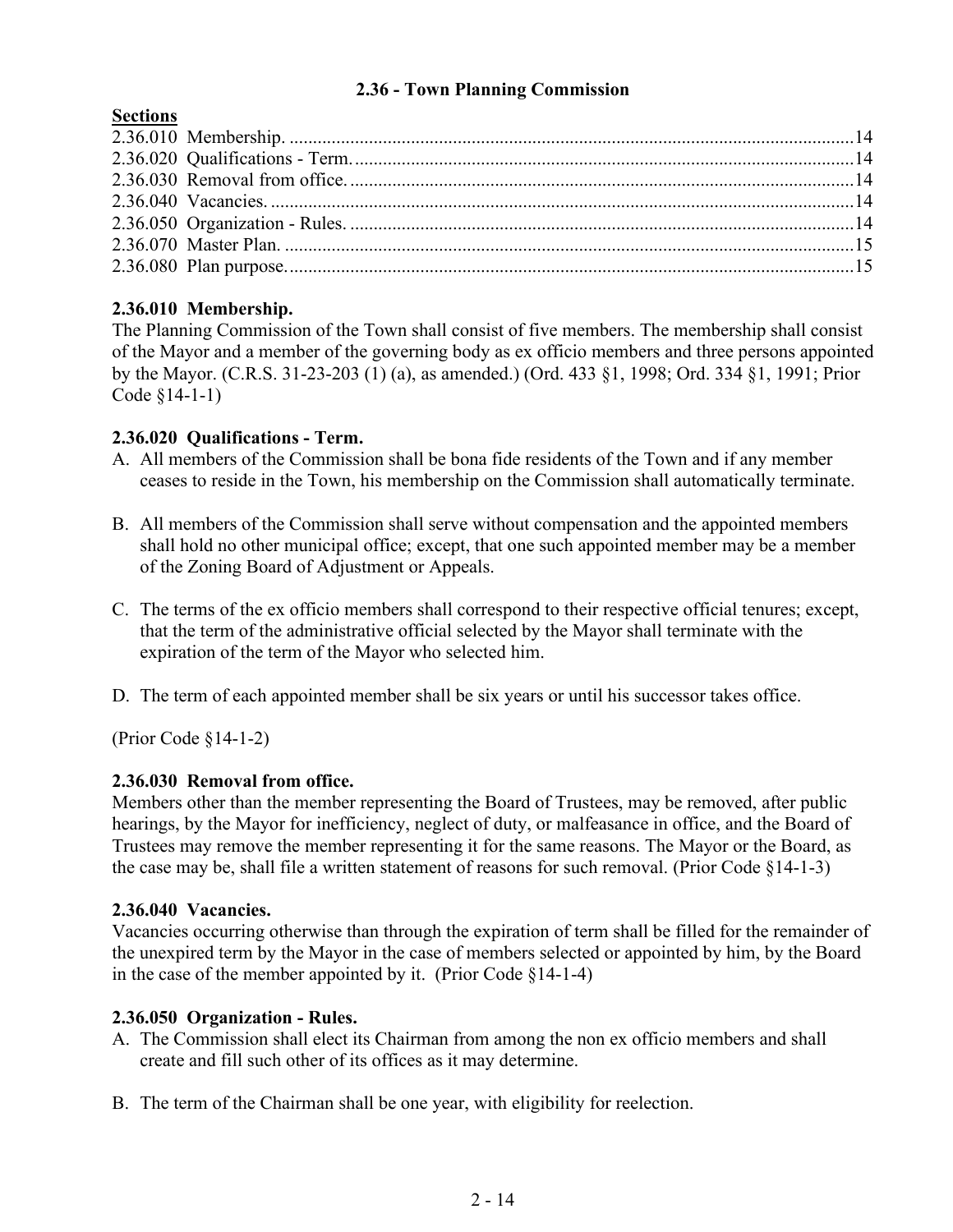# **2.36 - Town Planning Commission**

## <span id="page-13-0"></span>**Sections**

# **2.36.010 Membership.**

The Planning Commission of the Town shall consist of five members. The membership shall consist of the Mayor and a member of the governing body as ex officio members and three persons appointed by the Mayor. (C.R.S. 31-23-203 (1) (a), as amended.) (Ord. 433 §1, 1998; Ord. 334 §1, 1991; Prior Code §14-1-1)

### **2.36.020 Qualifications - Term.**

- A. All members of the Commission shall be bona fide residents of the Town and if any member ceases to reside in the Town, his membership on the Commission shall automatically terminate.
- B. All members of the Commission shall serve without compensation and the appointed members shall hold no other municipal office; except, that one such appointed member may be a member of the Zoning Board of Adjustment or Appeals.
- C. The terms of the ex officio members shall correspond to their respective official tenures; except, that the term of the administrative official selected by the Mayor shall terminate with the expiration of the term of the Mayor who selected him.
- D. The term of each appointed member shall be six years or until his successor takes office.

(Prior Code §14-1-2)

### **2.36.030 Removal from office.**

Members other than the member representing the Board of Trustees, may be removed, after public hearings, by the Mayor for inefficiency, neglect of duty, or malfeasance in office, and the Board of Trustees may remove the member representing it for the same reasons. The Mayor or the Board, as the case may be, shall file a written statement of reasons for such removal. (Prior Code §14-1-3)

### **2.36.040 Vacancies.**

Vacancies occurring otherwise than through the expiration of term shall be filled for the remainder of the unexpired term by the Mayor in the case of members selected or appointed by him, by the Board in the case of the member appointed by it. (Prior Code §14-1-4)

### **2.36.050 Organization - Rules.**

- A. The Commission shall elect its Chairman from among the non ex officio members and shall create and fill such other of its offices as it may determine.
- B. The term of the Chairman shall be one year, with eligibility for reelection.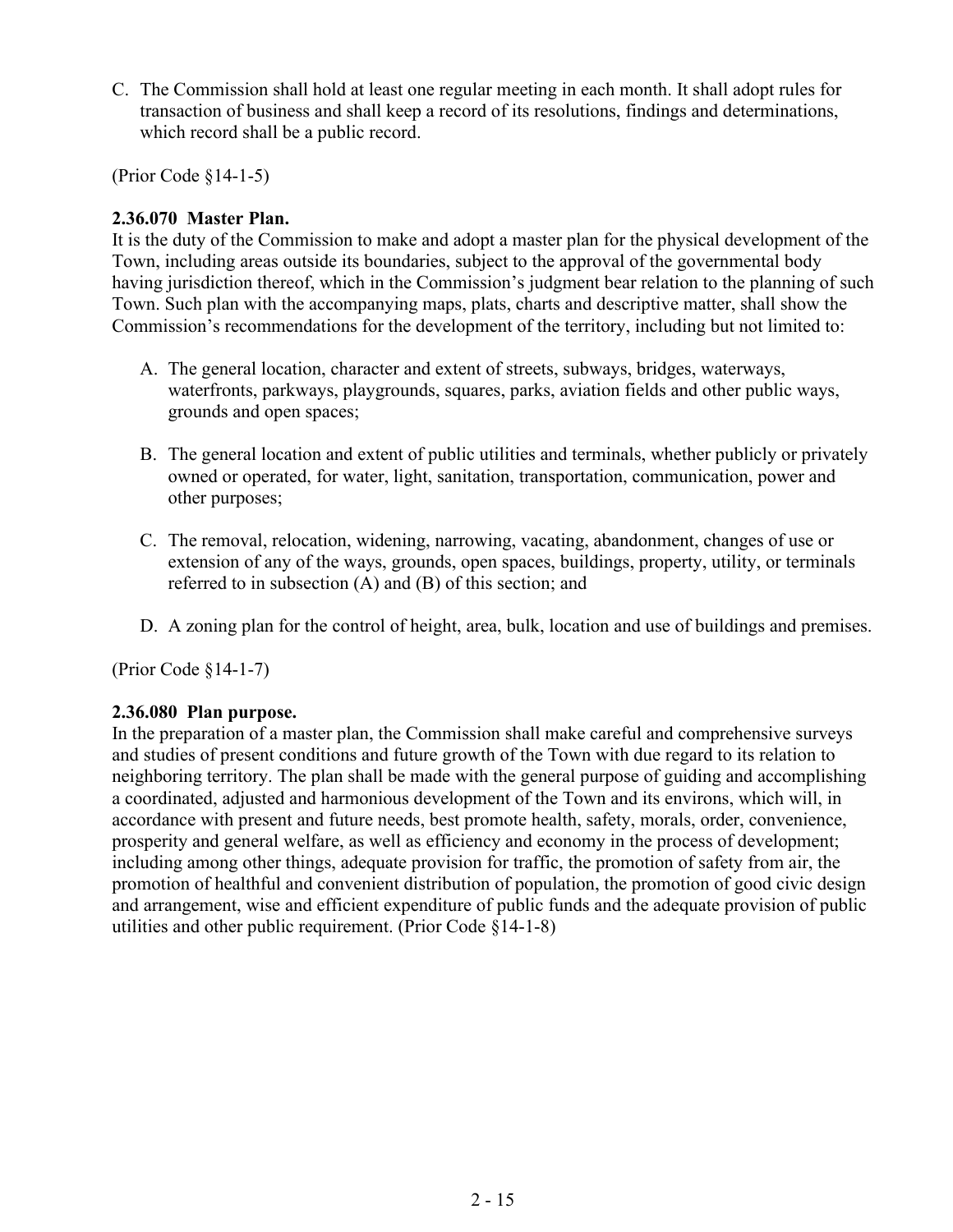C. The Commission shall hold at least one regular meeting in each month. It shall adopt rules for transaction of business and shall keep a record of its resolutions, findings and determinations, which record shall be a public record.

(Prior Code §14-1-5)

## **2.36.070 Master Plan.**

It is the duty of the Commission to make and adopt a master plan for the physical development of the Town, including areas outside its boundaries, subject to the approval of the governmental body having jurisdiction thereof, which in the Commission's judgment bear relation to the planning of such Town. Such plan with the accompanying maps, plats, charts and descriptive matter, shall show the Commission's recommendations for the development of the territory, including but not limited to:

- A. The general location, character and extent of streets, subways, bridges, waterways, waterfronts, parkways, playgrounds, squares, parks, aviation fields and other public ways, grounds and open spaces;
- B. The general location and extent of public utilities and terminals, whether publicly or privately owned or operated, for water, light, sanitation, transportation, communication, power and other purposes;
- C. The removal, relocation, widening, narrowing, vacating, abandonment, changes of use or extension of any of the ways, grounds, open spaces, buildings, property, utility, or terminals referred to in subsection (A) and (B) of this section; and
- D. A zoning plan for the control of height, area, bulk, location and use of buildings and premises.

(Prior Code §14-1-7)

### **2.36.080 Plan purpose.**

In the preparation of a master plan, the Commission shall make careful and comprehensive surveys and studies of present conditions and future growth of the Town with due regard to its relation to neighboring territory. The plan shall be made with the general purpose of guiding and accomplishing a coordinated, adjusted and harmonious development of the Town and its environs, which will, in accordance with present and future needs, best promote health, safety, morals, order, convenience, prosperity and general welfare, as well as efficiency and economy in the process of development; including among other things, adequate provision for traffic, the promotion of safety from air, the promotion of healthful and convenient distribution of population, the promotion of good civic design and arrangement, wise and efficient expenditure of public funds and the adequate provision of public utilities and other public requirement. (Prior Code §14-1-8)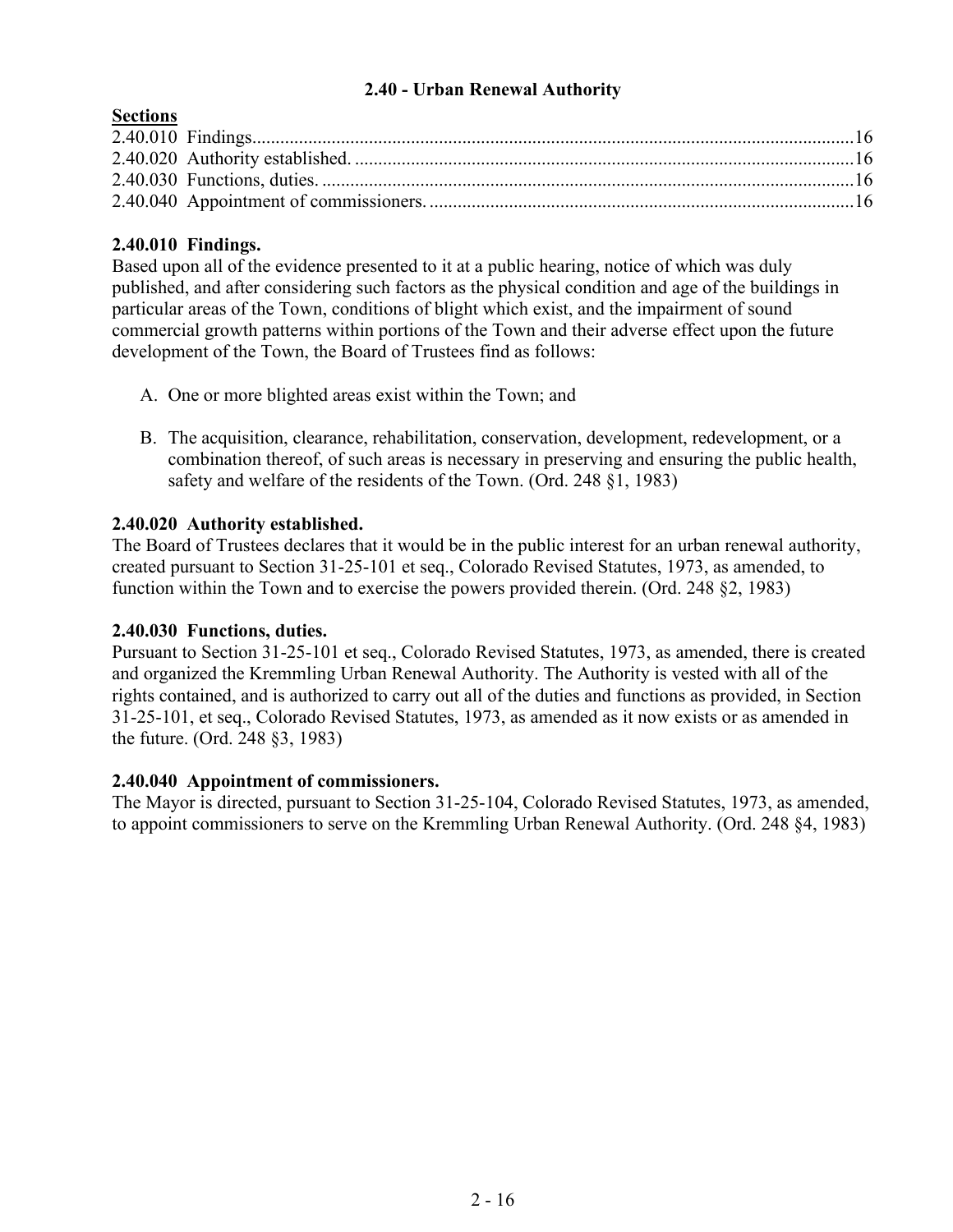### **2.40 - Urban Renewal Authority**

## <span id="page-15-0"></span>**Sections**

## **2.40.010 Findings.**

Based upon all of the evidence presented to it at a public hearing, notice of which was duly published, and after considering such factors as the physical condition and age of the buildings in particular areas of the Town, conditions of blight which exist, and the impairment of sound commercial growth patterns within portions of the Town and their adverse effect upon the future development of the Town, the Board of Trustees find as follows:

- A. One or more blighted areas exist within the Town; and
- B. The acquisition, clearance, rehabilitation, conservation, development, redevelopment, or a combination thereof, of such areas is necessary in preserving and ensuring the public health, safety and welfare of the residents of the Town. (Ord. 248 §1, 1983)

### **2.40.020 Authority established.**

The Board of Trustees declares that it would be in the public interest for an urban renewal authority, created pursuant to Section 31-25-101 et seq., Colorado Revised Statutes, 1973, as amended, to function within the Town and to exercise the powers provided therein. (Ord. 248 §2, 1983)

### **2.40.030 Functions, duties.**

Pursuant to Section 31-25-101 et seq., Colorado Revised Statutes, 1973, as amended, there is created and organized the Kremmling Urban Renewal Authority. The Authority is vested with all of the rights contained, and is authorized to carry out all of the duties and functions as provided, in Section 31-25-101, et seq., Colorado Revised Statutes, 1973, as amended as it now exists or as amended in the future. (Ord. 248 §3, 1983)

### **2.40.040 Appointment of commissioners.**

The Mayor is directed, pursuant to Section 31-25-104, Colorado Revised Statutes, 1973, as amended, to appoint commissioners to serve on the Kremmling Urban Renewal Authority. (Ord. 248 §4, 1983)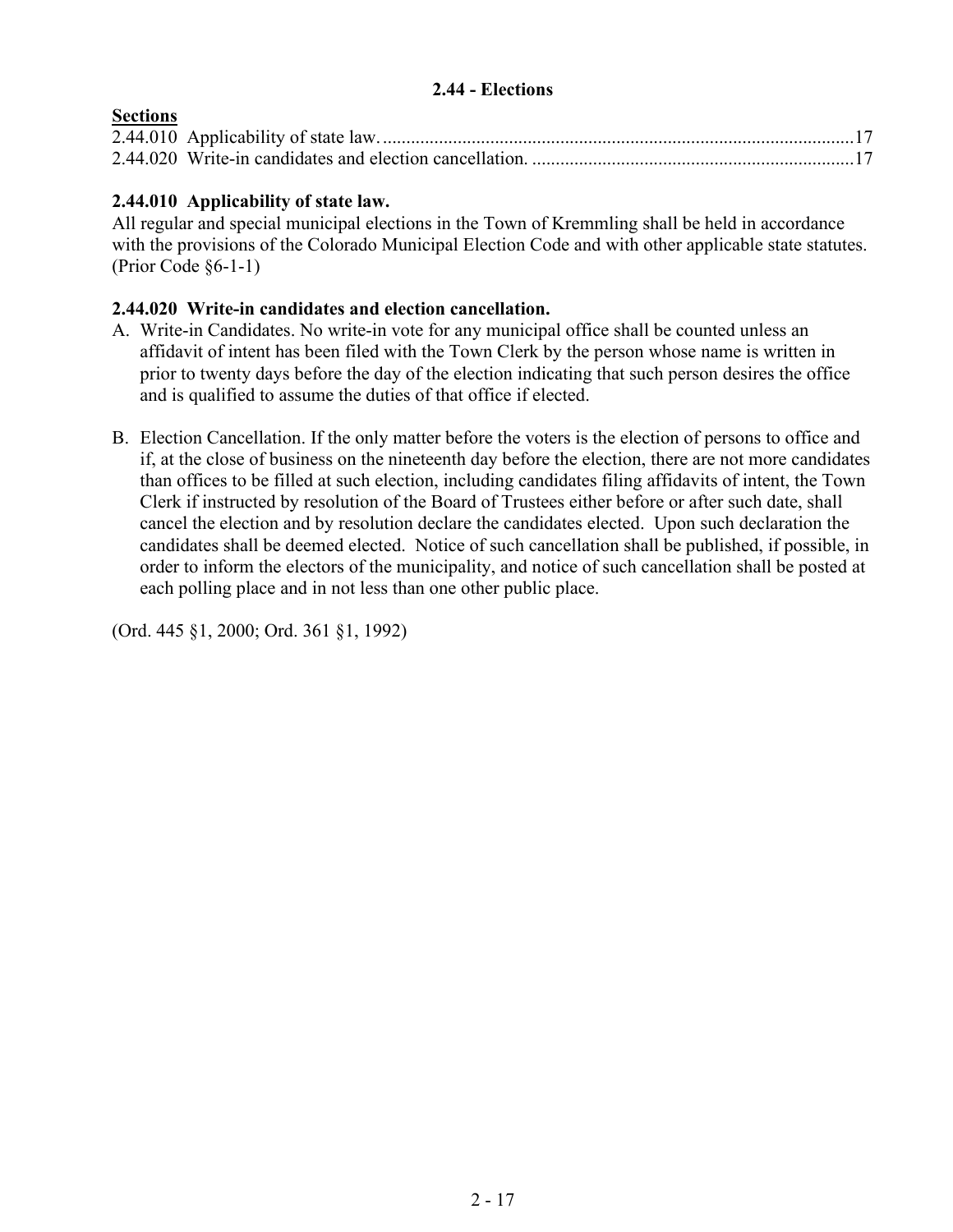## **2.44 - Elections**

# <span id="page-16-0"></span>**Sections**

## **2.44.010 Applicability of state law.**

All regular and special municipal elections in the Town of Kremmling shall be held in accordance with the provisions of the Colorado Municipal Election Code and with other applicable state statutes. (Prior Code §6-1-1)

#### **2.44.020 Write-in candidates and election cancellation.**

- A. Write-in Candidates. No write-in vote for any municipal office shall be counted unless an affidavit of intent has been filed with the Town Clerk by the person whose name is written in prior to twenty days before the day of the election indicating that such person desires the office and is qualified to assume the duties of that office if elected.
- B. Election Cancellation. If the only matter before the voters is the election of persons to office and if, at the close of business on the nineteenth day before the election, there are not more candidates than offices to be filled at such election, including candidates filing affidavits of intent, the Town Clerk if instructed by resolution of the Board of Trustees either before or after such date, shall cancel the election and by resolution declare the candidates elected. Upon such declaration the candidates shall be deemed elected. Notice of such cancellation shall be published, if possible, in order to inform the electors of the municipality, and notice of such cancellation shall be posted at each polling place and in not less than one other public place.

(Ord. 445 §1, 2000; Ord. 361 §1, 1992)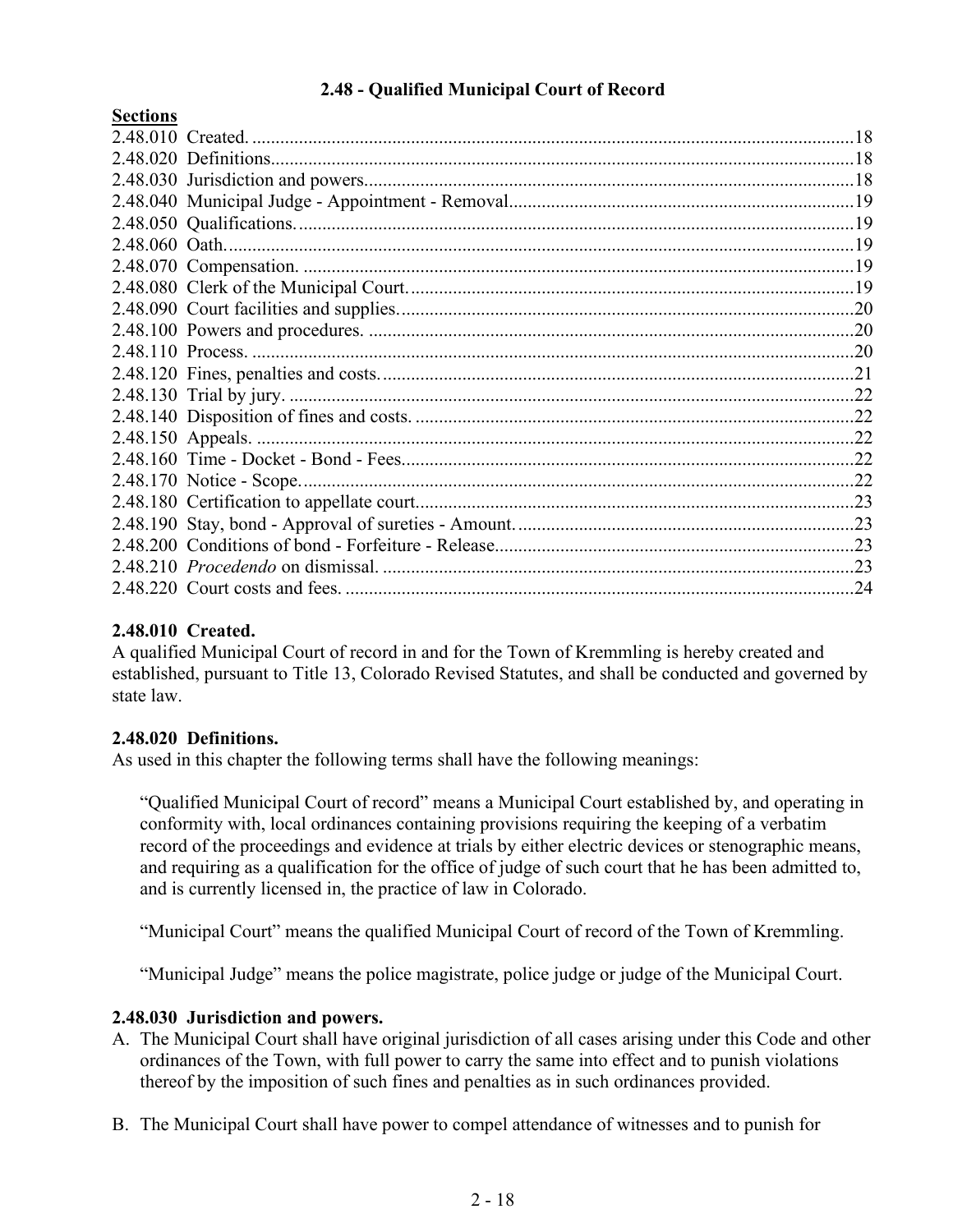## **2.48 - Qualified Municipal Court of Record**

#### <span id="page-17-0"></span>**Sections**

|  | .24 |
|--|-----|

### **2.48.010 Created.**

A qualified Municipal Court of record in and for the Town of Kremmling is hereby created and established, pursuant to Title 13, Colorado Revised Statutes, and shall be conducted and governed by state law.

### **2.48.020 Definitions.**

As used in this chapter the following terms shall have the following meanings:

"Qualified Municipal Court of record" means a Municipal Court established by, and operating in conformity with, local ordinances containing provisions requiring the keeping of a verbatim record of the proceedings and evidence at trials by either electric devices or stenographic means, and requiring as a qualification for the office of judge of such court that he has been admitted to, and is currently licensed in, the practice of law in Colorado.

"Municipal Court" means the qualified Municipal Court of record of the Town of Kremmling.

"Municipal Judge" means the police magistrate, police judge or judge of the Municipal Court.

### **2.48.030 Jurisdiction and powers.**

- A. The Municipal Court shall have original jurisdiction of all cases arising under this Code and other ordinances of the Town, with full power to carry the same into effect and to punish violations thereof by the imposition of such fines and penalties as in such ordinances provided.
- B. The Municipal Court shall have power to compel attendance of witnesses and to punish for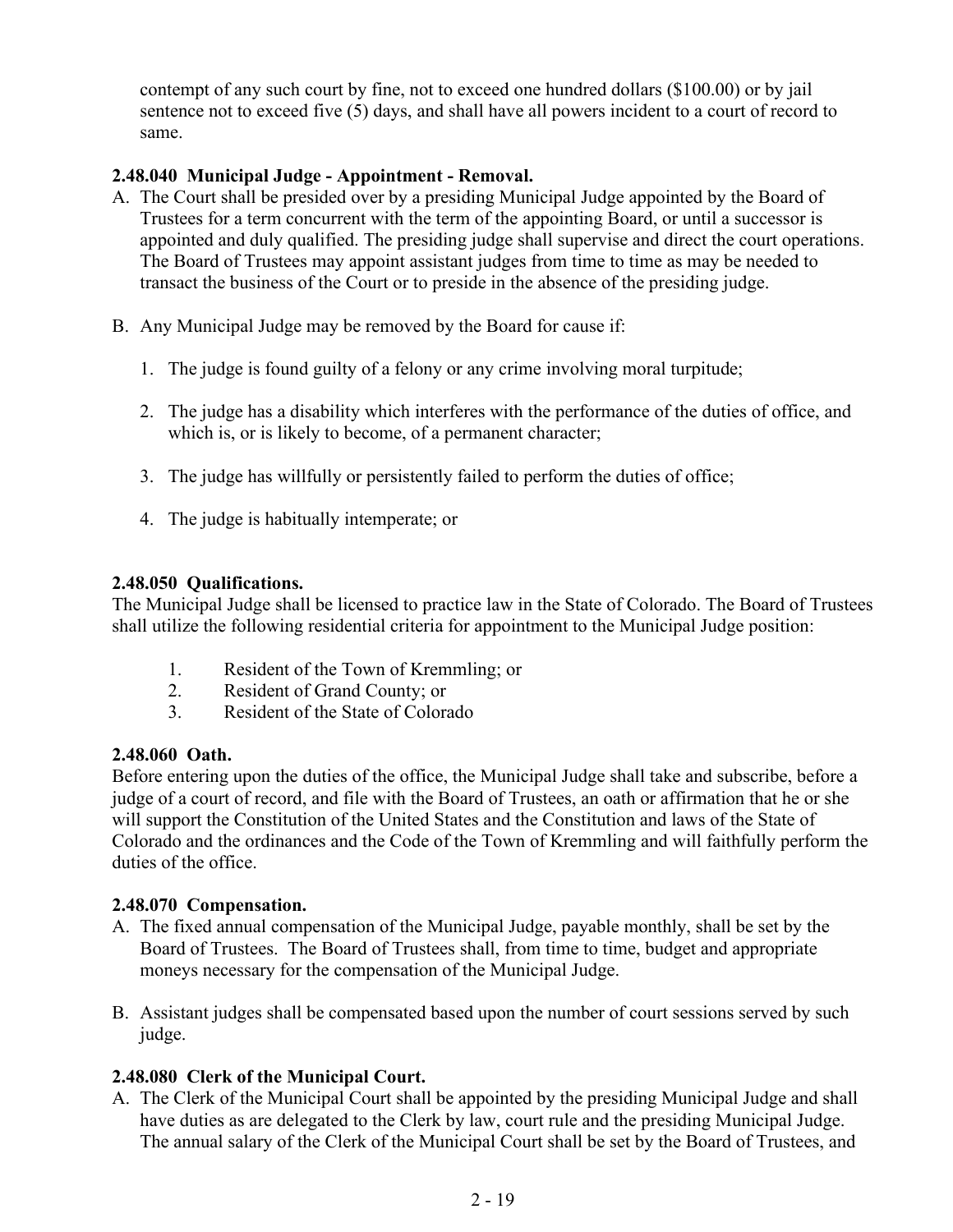contempt of any such court by fine, not to exceed one hundred dollars (\$100.00) or by jail sentence not to exceed five (5) days, and shall have all powers incident to a court of record to same.

## **2.48.040 Municipal Judge - Appointment - Removal.**

- A. The Court shall be presided over by a presiding Municipal Judge appointed by the Board of Trustees for a term concurrent with the term of the appointing Board, or until a successor is appointed and duly qualified. The presiding judge shall supervise and direct the court operations. The Board of Trustees may appoint assistant judges from time to time as may be needed to transact the business of the Court or to preside in the absence of the presiding judge.
- B. Any Municipal Judge may be removed by the Board for cause if:
	- 1. The judge is found guilty of a felony or any crime involving moral turpitude;
	- 2. The judge has a disability which interferes with the performance of the duties of office, and which is, or is likely to become, of a permanent character;
	- 3. The judge has willfully or persistently failed to perform the duties of office;
	- 4. The judge is habitually intemperate; or

### **2.48.050 Qualifications.**

The Municipal Judge shall be licensed to practice law in the State of Colorado. The Board of Trustees shall utilize the following residential criteria for appointment to the Municipal Judge position:

- 1. Resident of the Town of Kremmling; or
- 2. Resident of Grand County; or
- 3. Resident of the State of Colorado

### **2.48.060 Oath.**

Before entering upon the duties of the office, the Municipal Judge shall take and subscribe, before a judge of a court of record, and file with the Board of Trustees, an oath or affirmation that he or she will support the Constitution of the United States and the Constitution and laws of the State of Colorado and the ordinances and the Code of the Town of Kremmling and will faithfully perform the duties of the office.

### **2.48.070 Compensation.**

- A. The fixed annual compensation of the Municipal Judge, payable monthly, shall be set by the Board of Trustees. The Board of Trustees shall, from time to time, budget and appropriate moneys necessary for the compensation of the Municipal Judge.
- B. Assistant judges shall be compensated based upon the number of court sessions served by such judge.

# **2.48.080 Clerk of the Municipal Court.**

A. The Clerk of the Municipal Court shall be appointed by the presiding Municipal Judge and shall have duties as are delegated to the Clerk by law, court rule and the presiding Municipal Judge. The annual salary of the Clerk of the Municipal Court shall be set by the Board of Trustees, and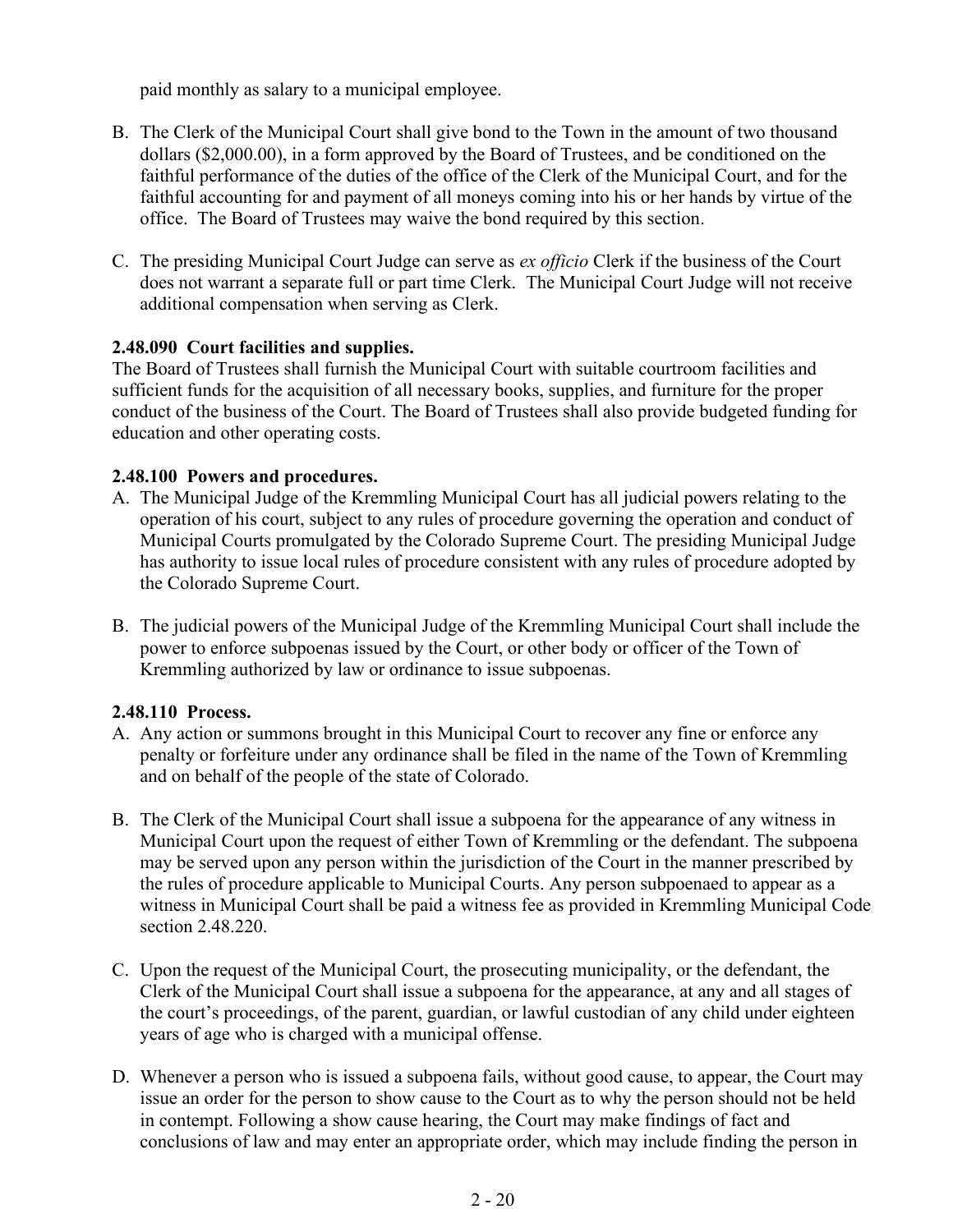paid monthly as salary to a municipal employee.

- B. The Clerk of the Municipal Court shall give bond to the Town in the amount of two thousand dollars (\$2,000.00), in a form approved by the Board of Trustees, and be conditioned on the faithful performance of the duties of the office of the Clerk of the Municipal Court, and for the faithful accounting for and payment of all moneys coming into his or her hands by virtue of the office. The Board of Trustees may waive the bond required by this section.
- C. The presiding Municipal Court Judge can serve as *ex officio* Clerk if the business of the Court does not warrant a separate full or part time Clerk. The Municipal Court Judge will not receive additional compensation when serving as Clerk.

### **2.48.090 Court facilities and supplies.**

The Board of Trustees shall furnish the Municipal Court with suitable courtroom facilities and sufficient funds for the acquisition of all necessary books, supplies, and furniture for the proper conduct of the business of the Court. The Board of Trustees shall also provide budgeted funding for education and other operating costs.

### **2.48.100 Powers and procedures.**

- A. The Municipal Judge of the Kremmling Municipal Court has all judicial powers relating to the operation of his court, subject to any rules of procedure governing the operation and conduct of Municipal Courts promulgated by the Colorado Supreme Court. The presiding Municipal Judge has authority to issue local rules of procedure consistent with any rules of procedure adopted by the Colorado Supreme Court.
- B. The judicial powers of the Municipal Judge of the Kremmling Municipal Court shall include the power to enforce subpoenas issued by the Court, or other body or officer of the Town of Kremmling authorized by law or ordinance to issue subpoenas.

# **2.48.110 Process.**

- A. Any action or summons brought in this Municipal Court to recover any fine or enforce any penalty or forfeiture under any ordinance shall be filed in the name of the Town of Kremmling and on behalf of the people of the state of Colorado.
- B. The Clerk of the Municipal Court shall issue a subpoena for the appearance of any witness in Municipal Court upon the request of either Town of Kremmling or the defendant. The subpoena may be served upon any person within the jurisdiction of the Court in the manner prescribed by the rules of procedure applicable to Municipal Courts. Any person subpoenaed to appear as a witness in Municipal Court shall be paid a witness fee as provided in Kremmling Municipal Code section 2.48.220.
- C. Upon the request of the Municipal Court, the prosecuting municipality, or the defendant, the Clerk of the Municipal Court shall issue a subpoena for the appearance, at any and all stages of the court's proceedings, of the parent, guardian, or lawful custodian of any child under eighteen years of age who is charged with a municipal offense.
- D. Whenever a person who is issued a subpoena fails, without good cause, to appear, the Court may issue an order for the person to show cause to the Court as to why the person should not be held in contempt. Following a show cause hearing, the Court may make findings of fact and conclusions of law and may enter an appropriate order, which may include finding the person in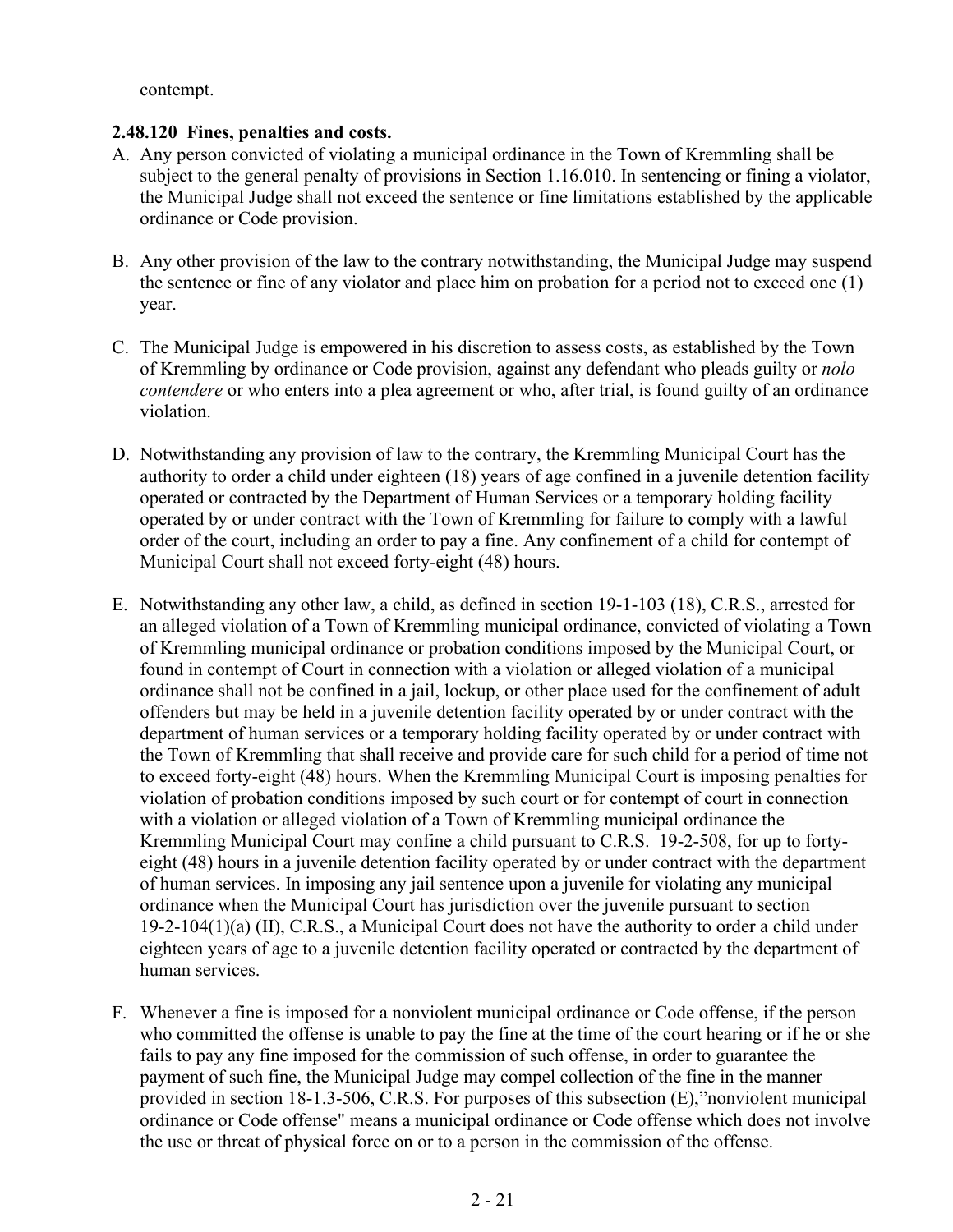contempt.

#### **2.48.120 Fines, penalties and costs.**

- A. Any person convicted of violating a municipal ordinance in the Town of Kremmling shall be subject to the general penalty of provisions in Section 1.16.010. In sentencing or fining a violator, the Municipal Judge shall not exceed the sentence or fine limitations established by the applicable ordinance or Code provision.
- B. Any other provision of the law to the contrary notwithstanding, the Municipal Judge may suspend the sentence or fine of any violator and place him on probation for a period not to exceed one (1) year.
- C. The Municipal Judge is empowered in his discretion to assess costs, as established by the Town of Kremmling by ordinance or Code provision, against any defendant who pleads guilty or *nolo contendere* or who enters into a plea agreement or who, after trial, is found guilty of an ordinance violation.
- D. Notwithstanding any provision of law to the contrary, the Kremmling Municipal Court has the authority to order a child under eighteen (18) years of age confined in a juvenile detention facility operated or contracted by the Department of Human Services or a temporary holding facility operated by or under contract with the Town of Kremmling for failure to comply with a lawful order of the court, including an order to pay a fine. Any confinement of a child for contempt of Municipal Court shall not exceed forty-eight (48) hours.
- E. Notwithstanding any other law, a child, as defined in section 19-1-103 (18), C.R.S., arrested for an alleged violation of a Town of Kremmling municipal ordinance, convicted of violating a Town of Kremmling municipal ordinance or probation conditions imposed by the Municipal Court, or found in contempt of Court in connection with a violation or alleged violation of a municipal ordinance shall not be confined in a jail, lockup, or other place used for the confinement of adult offenders but may be held in a juvenile detention facility operated by or under contract with the department of human services or a temporary holding facility operated by or under contract with the Town of Kremmling that shall receive and provide care for such child for a period of time not to exceed forty-eight (48) hours. When the Kremmling Municipal Court is imposing penalties for violation of probation conditions imposed by such court or for contempt of court in connection with a violation or alleged violation of a Town of Kremmling municipal ordinance the Kremmling Municipal Court may confine a child pursuant to C.R.S. 19-2-508, for up to fortyeight (48) hours in a juvenile detention facility operated by or under contract with the department of human services. In imposing any jail sentence upon a juvenile for violating any municipal ordinance when the Municipal Court has jurisdiction over the juvenile pursuant to section 19-2-104(1)(a) (II), C.R.S., a Municipal Court does not have the authority to order a child under eighteen years of age to a juvenile detention facility operated or contracted by the department of human services.
- F. Whenever a fine is imposed for a nonviolent municipal ordinance or Code offense, if the person who committed the offense is unable to pay the fine at the time of the court hearing or if he or she fails to pay any fine imposed for the commission of such offense, in order to guarantee the payment of such fine, the Municipal Judge may compel collection of the fine in the manner provided in section 18-1.3-506, C.R.S. For purposes of this subsection (E),"nonviolent municipal ordinance or Code offense" means a municipal ordinance or Code offense which does not involve the use or threat of physical force on or to a person in the commission of the offense.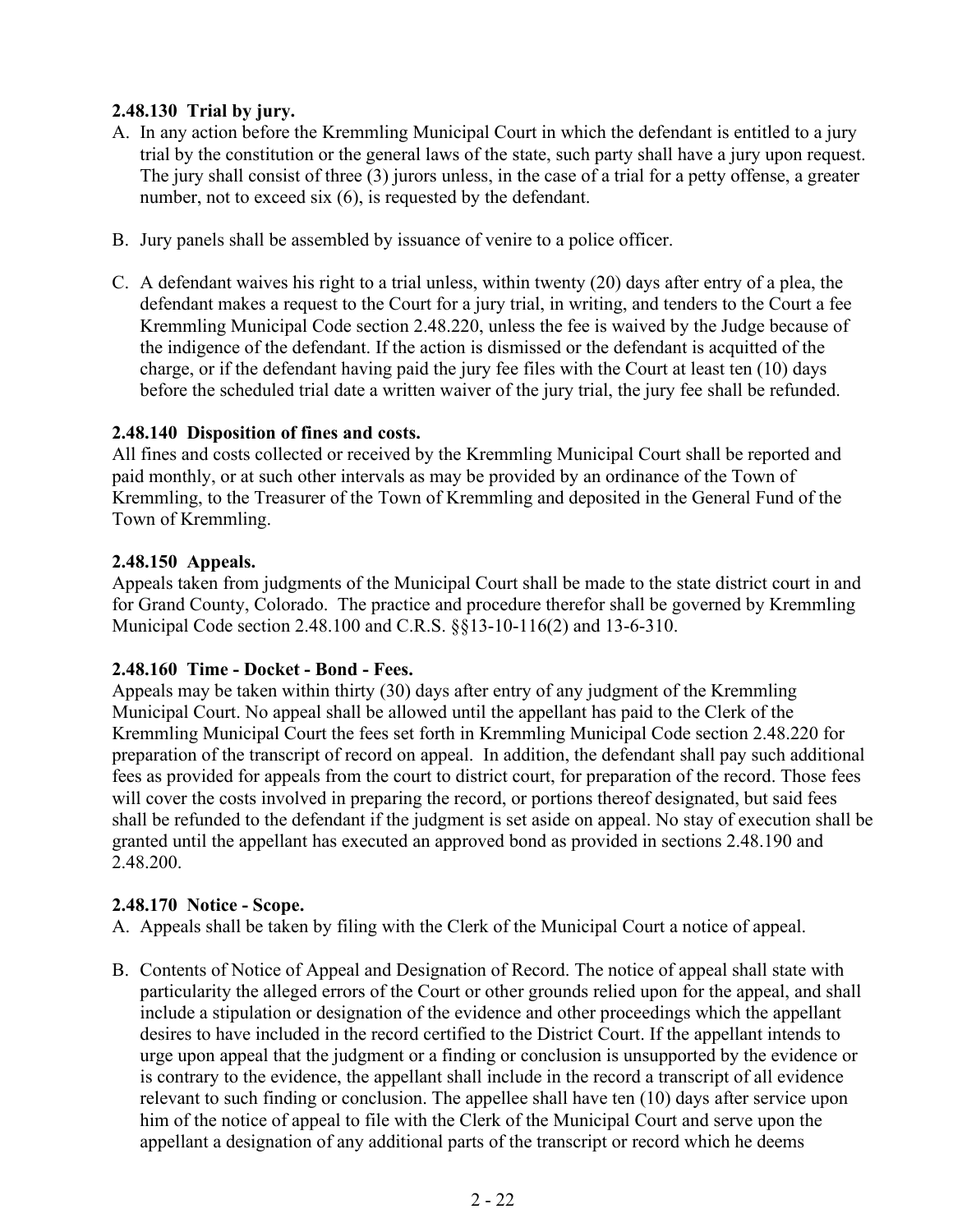# **2.48.130 Trial by jury.**

- A. In any action before the Kremmling Municipal Court in which the defendant is entitled to a jury trial by the constitution or the general laws of the state, such party shall have a jury upon request. The jury shall consist of three (3) jurors unless, in the case of a trial for a petty offense, a greater number, not to exceed six (6), is requested by the defendant.
- B. Jury panels shall be assembled by issuance of venire to a police officer.
- C. A defendant waives his right to a trial unless, within twenty (20) days after entry of a plea, the defendant makes a request to the Court for a jury trial, in writing, and tenders to the Court a fee Kremmling Municipal Code section 2.48.220, unless the fee is waived by the Judge because of the indigence of the defendant. If the action is dismissed or the defendant is acquitted of the charge, or if the defendant having paid the jury fee files with the Court at least ten (10) days before the scheduled trial date a written waiver of the jury trial, the jury fee shall be refunded.

#### **2.48.140 Disposition of fines and costs.**

All fines and costs collected or received by the Kremmling Municipal Court shall be reported and paid monthly, or at such other intervals as may be provided by an ordinance of the Town of Kremmling, to the Treasurer of the Town of Kremmling and deposited in the General Fund of the Town of Kremmling.

#### **2.48.150 Appeals.**

Appeals taken from judgments of the Municipal Court shall be made to the state district court in and for Grand County, Colorado. The practice and procedure therefor shall be governed by Kremmling Municipal Code section 2.48.100 and C.R.S. §§13-10-116(2) and 13-6-310.

### **2.48.160 Time - Docket - Bond - Fees.**

Appeals may be taken within thirty (30) days after entry of any judgment of the Kremmling Municipal Court. No appeal shall be allowed until the appellant has paid to the Clerk of the Kremmling Municipal Court the fees set forth in Kremmling Municipal Code section 2.48.220 for preparation of the transcript of record on appeal. In addition, the defendant shall pay such additional fees as provided for appeals from the court to district court, for preparation of the record. Those fees will cover the costs involved in preparing the record, or portions thereof designated, but said fees shall be refunded to the defendant if the judgment is set aside on appeal. No stay of execution shall be granted until the appellant has executed an approved bond as provided in sections 2.48.190 and 2.48.200.

#### **2.48.170 Notice - Scope.**

A. Appeals shall be taken by filing with the Clerk of the Municipal Court a notice of appeal.

B. Contents of Notice of Appeal and Designation of Record. The notice of appeal shall state with particularity the alleged errors of the Court or other grounds relied upon for the appeal, and shall include a stipulation or designation of the evidence and other proceedings which the appellant desires to have included in the record certified to the District Court. If the appellant intends to urge upon appeal that the judgment or a finding or conclusion is unsupported by the evidence or is contrary to the evidence, the appellant shall include in the record a transcript of all evidence relevant to such finding or conclusion. The appellee shall have ten (10) days after service upon him of the notice of appeal to file with the Clerk of the Municipal Court and serve upon the appellant a designation of any additional parts of the transcript or record which he deems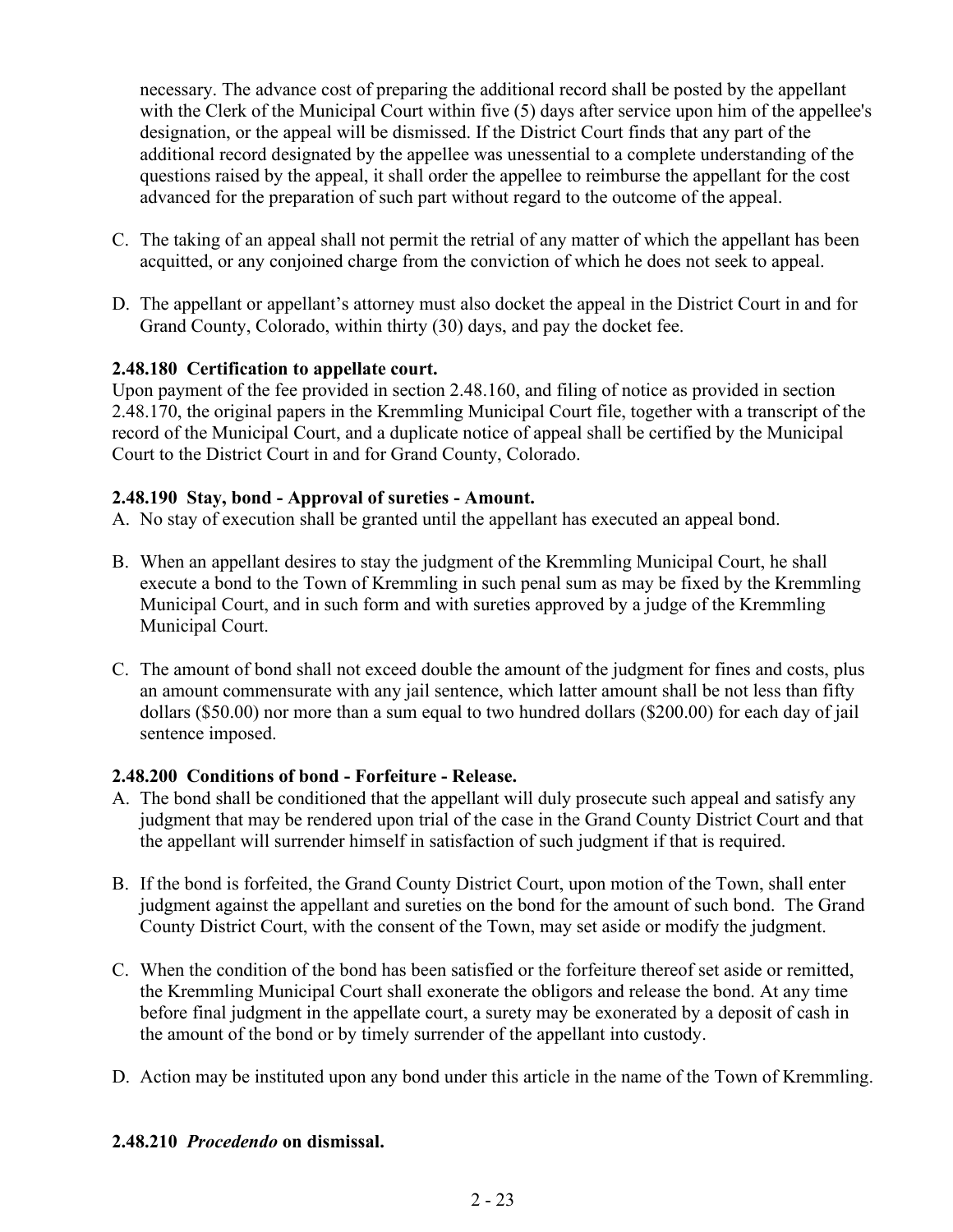necessary. The advance cost of preparing the additional record shall be posted by the appellant with the Clerk of the Municipal Court within five (5) days after service upon him of the appellee's designation, or the appeal will be dismissed. If the District Court finds that any part of the additional record designated by the appellee was unessential to a complete understanding of the questions raised by the appeal, it shall order the appellee to reimburse the appellant for the cost advanced for the preparation of such part without regard to the outcome of the appeal.

- C. The taking of an appeal shall not permit the retrial of any matter of which the appellant has been acquitted, or any conjoined charge from the conviction of which he does not seek to appeal.
- D. The appellant or appellant's attorney must also docket the appeal in the District Court in and for Grand County, Colorado, within thirty (30) days, and pay the docket fee.

### **2.48.180 Certification to appellate court.**

Upon payment of the fee provided in section 2.48.160, and filing of notice as provided in section 2.48.170, the original papers in the Kremmling Municipal Court file, together with a transcript of the record of the Municipal Court, and a duplicate notice of appeal shall be certified by the Municipal Court to the District Court in and for Grand County, Colorado.

#### **2.48.190 Stay, bond - Approval of sureties - Amount.**

A. No stay of execution shall be granted until the appellant has executed an appeal bond.

- B. When an appellant desires to stay the judgment of the Kremmling Municipal Court, he shall execute a bond to the Town of Kremmling in such penal sum as may be fixed by the Kremmling Municipal Court, and in such form and with sureties approved by a judge of the Kremmling Municipal Court.
- C. The amount of bond shall not exceed double the amount of the judgment for fines and costs, plus an amount commensurate with any jail sentence, which latter amount shall be not less than fifty dollars (\$50.00) nor more than a sum equal to two hundred dollars (\$200.00) for each day of jail sentence imposed.

### **2.48.200 Conditions of bond - Forfeiture - Release.**

- A. The bond shall be conditioned that the appellant will duly prosecute such appeal and satisfy any judgment that may be rendered upon trial of the case in the Grand County District Court and that the appellant will surrender himself in satisfaction of such judgment if that is required.
- B. If the bond is forfeited, the Grand County District Court, upon motion of the Town, shall enter judgment against the appellant and sureties on the bond for the amount of such bond. The Grand County District Court, with the consent of the Town, may set aside or modify the judgment.
- C. When the condition of the bond has been satisfied or the forfeiture thereof set aside or remitted, the Kremmling Municipal Court shall exonerate the obligors and release the bond. At any time before final judgment in the appellate court, a surety may be exonerated by a deposit of cash in the amount of the bond or by timely surrender of the appellant into custody.
- D. Action may be instituted upon any bond under this article in the name of the Town of Kremmling.

### **2.48.210** *Procedendo* **on dismissal.**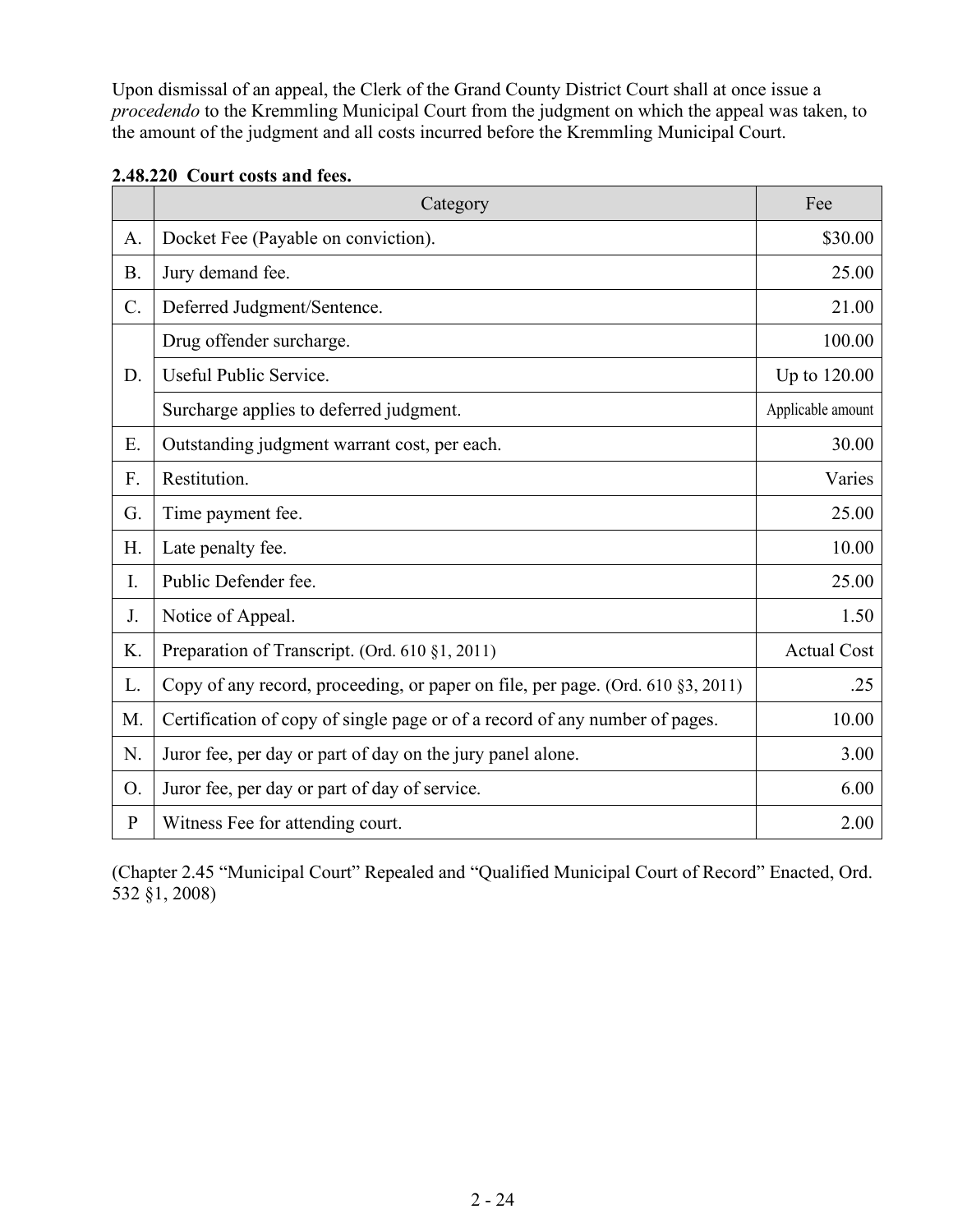Upon dismissal of an appeal, the Clerk of the Grand County District Court shall at once issue a *procedendo* to the Kremmling Municipal Court from the judgment on which the appeal was taken, to the amount of the judgment and all costs incurred before the Kremmling Municipal Court.

|              | Category                                                                        | Fee                |
|--------------|---------------------------------------------------------------------------------|--------------------|
| A.           | Docket Fee (Payable on conviction).                                             | \$30.00            |
| <b>B.</b>    | Jury demand fee.                                                                | 25.00              |
| $C$ .        | Deferred Judgment/Sentence.                                                     | 21.00              |
| D.           | Drug offender surcharge.                                                        | 100.00             |
|              | Useful Public Service.                                                          | Up to 120.00       |
|              | Surcharge applies to deferred judgment.                                         | Applicable amount  |
| E.           | Outstanding judgment warrant cost, per each.                                    | 30.00              |
| F.           | Restitution.                                                                    | Varies             |
| G.           | Time payment fee.                                                               | 25.00              |
| Η.           | Late penalty fee.                                                               | 10.00              |
| I.           | Public Defender fee.                                                            | 25.00              |
| J.           | Notice of Appeal.                                                               | 1.50               |
| K.           | Preparation of Transcript. (Ord. 610 §1, 2011)                                  | <b>Actual Cost</b> |
| L.           | Copy of any record, proceeding, or paper on file, per page. (Ord. 610 §3, 2011) | .25                |
| M.           | Certification of copy of single page or of a record of any number of pages.     | 10.00              |
| N.           | Juror fee, per day or part of day on the jury panel alone.                      | 3.00               |
| O.           | Juror fee, per day or part of day of service.                                   | 6.00               |
| $\mathbf{P}$ | Witness Fee for attending court.                                                | 2.00               |

| 2.48.220 Court costs and fees. |  |
|--------------------------------|--|
|--------------------------------|--|

(Chapter 2.45 "Municipal Court" Repealed and "Qualified Municipal Court of Record" Enacted, Ord. 532 §1, 2008)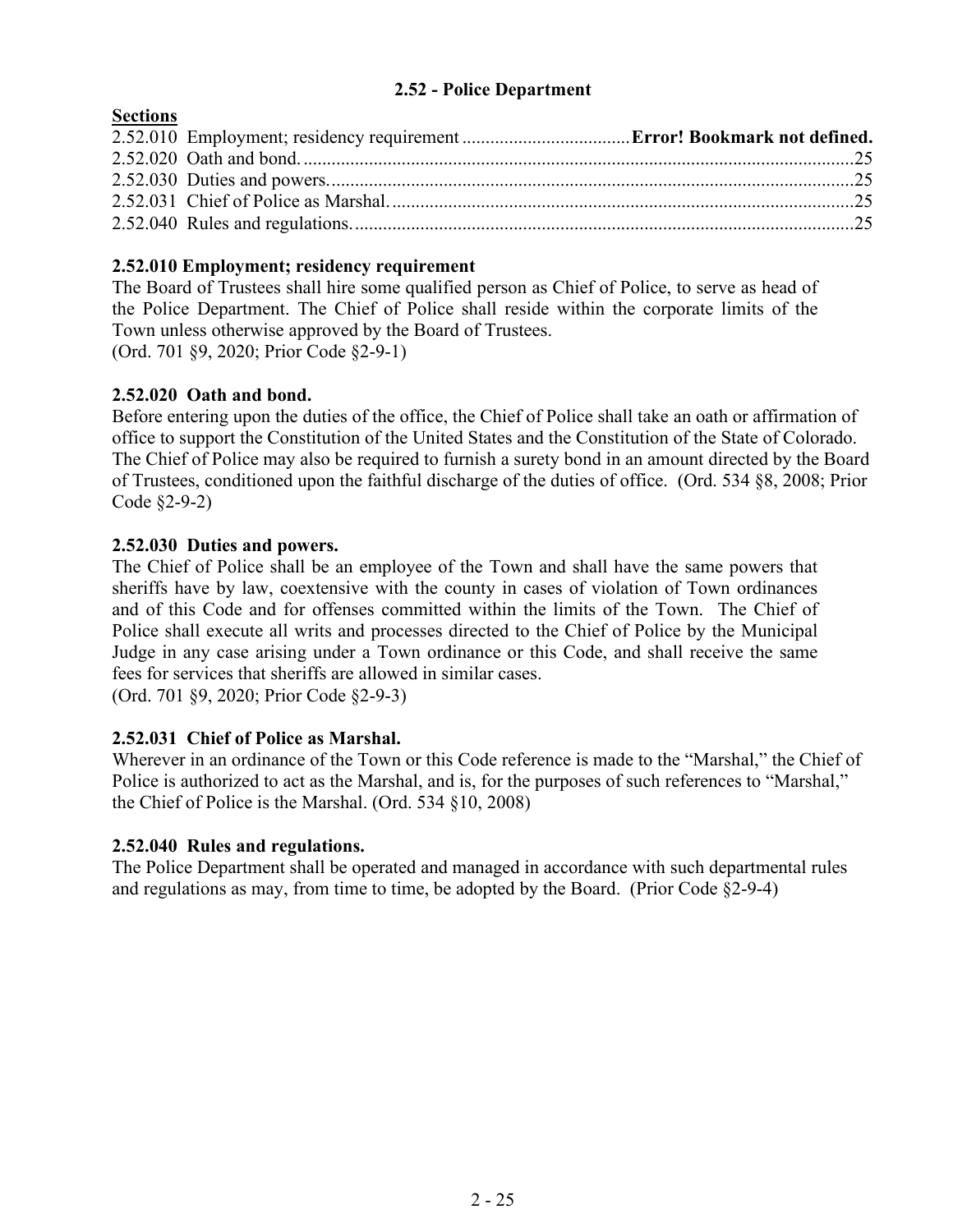#### **2.52 - Police Department**

## <span id="page-24-0"></span>**Sections**

# **2.52.010 Employment; residency requirement**

The Board of Trustees shall hire some qualified person as Chief of Police, to serve as head of the Police Department. The Chief of Police shall reside within the corporate limits of the Town unless otherwise approved by the Board of Trustees. (Ord. 701 §9, 2020; Prior Code §2-9-1)

### **2.52.020 Oath and bond.**

Before entering upon the duties of the office, the Chief of Police shall take an oath or affirmation of office to support the Constitution of the United States and the Constitution of the State of Colorado. The Chief of Police may also be required to furnish a surety bond in an amount directed by the Board of Trustees, conditioned upon the faithful discharge of the duties of office. (Ord. 534 §8, 2008; Prior Code §2-9-2)

### **2.52.030 Duties and powers.**

The Chief of Police shall be an employee of the Town and shall have the same powers that sheriffs have by law, coextensive with the county in cases of violation of Town ordinances and of this Code and for offenses committed within the limits of the Town. The Chief of Police shall execute all writs and processes directed to the Chief of Police by the Municipal Judge in any case arising under a Town ordinance or this Code, and shall receive the same fees for services that sheriffs are allowed in similar cases.

(Ord. 701 §9, 2020; Prior Code §2-9-3)

### **2.52.031 Chief of Police as Marshal.**

Wherever in an ordinance of the Town or this Code reference is made to the "Marshal," the Chief of Police is authorized to act as the Marshal, and is, for the purposes of such references to "Marshal," the Chief of Police is the Marshal. (Ord. 534 §10, 2008)

#### **2.52.040 Rules and regulations.**

The Police Department shall be operated and managed in accordance with such departmental rules and regulations as may, from time to time, be adopted by the Board. (Prior Code §2-9-4)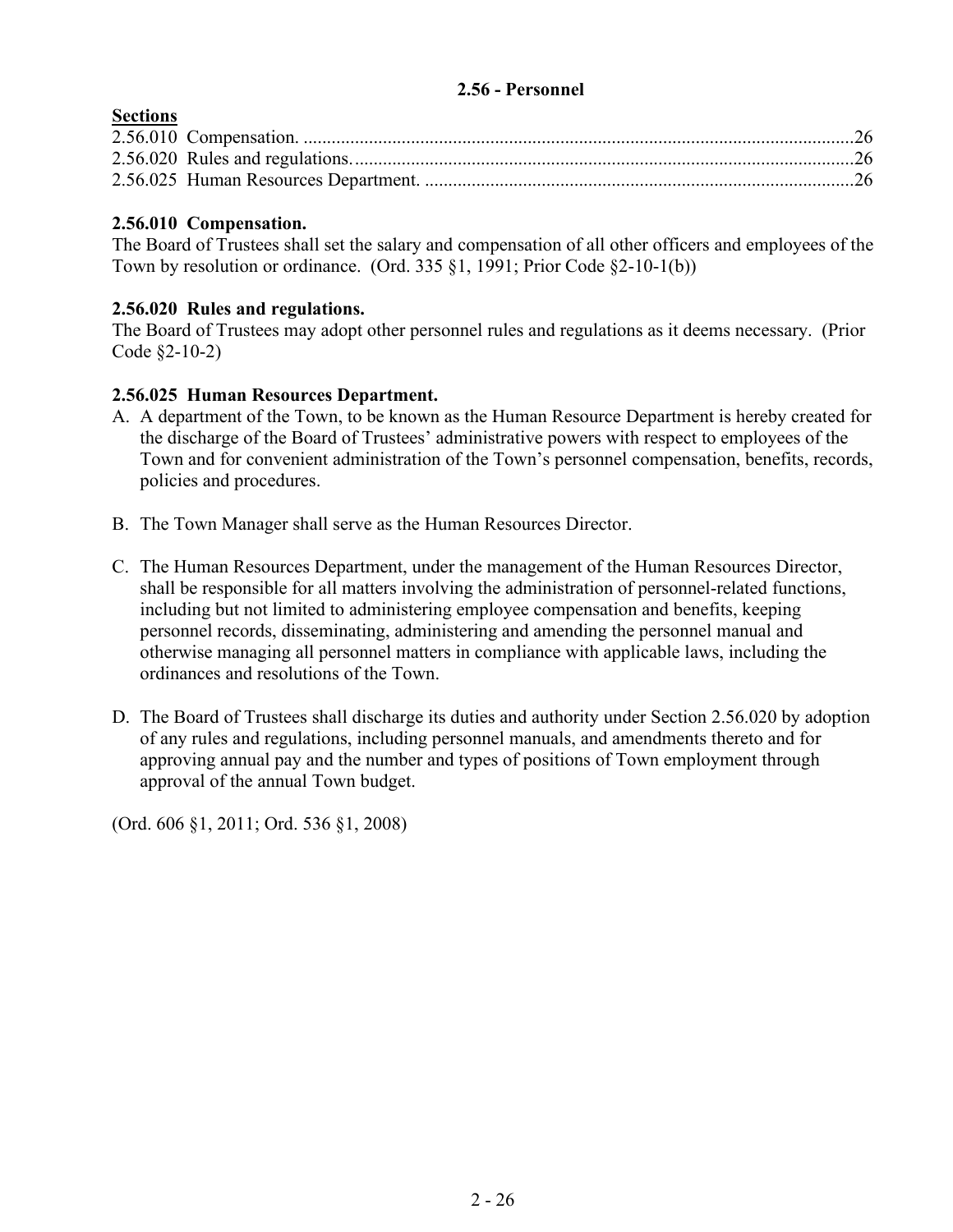## <span id="page-25-0"></span>**2.56 - Personnel**

# **Sections**

## **2.56.010 Compensation.**

The Board of Trustees shall set the salary and compensation of all other officers and employees of the Town by resolution or ordinance. (Ord. 335 §1, 1991; Prior Code §2-10-1(b))

## **2.56.020 Rules and regulations.**

The Board of Trustees may adopt other personnel rules and regulations as it deems necessary. (Prior Code §2-10-2)

## **2.56.025 Human Resources Department.**

- A. A department of the Town, to be known as the Human Resource Department is hereby created for the discharge of the Board of Trustees' administrative powers with respect to employees of the Town and for convenient administration of the Town's personnel compensation, benefits, records, policies and procedures.
- B. The Town Manager shall serve as the Human Resources Director.
- C. The Human Resources Department, under the management of the Human Resources Director, shall be responsible for all matters involving the administration of personnel-related functions, including but not limited to administering employee compensation and benefits, keeping personnel records, disseminating, administering and amending the personnel manual and otherwise managing all personnel matters in compliance with applicable laws, including the ordinances and resolutions of the Town.
- D. The Board of Trustees shall discharge its duties and authority under Section 2.56.020 by adoption of any rules and regulations, including personnel manuals, and amendments thereto and for approving annual pay and the number and types of positions of Town employment through approval of the annual Town budget.

(Ord. 606 §1, 2011; Ord. 536 §1, 2008)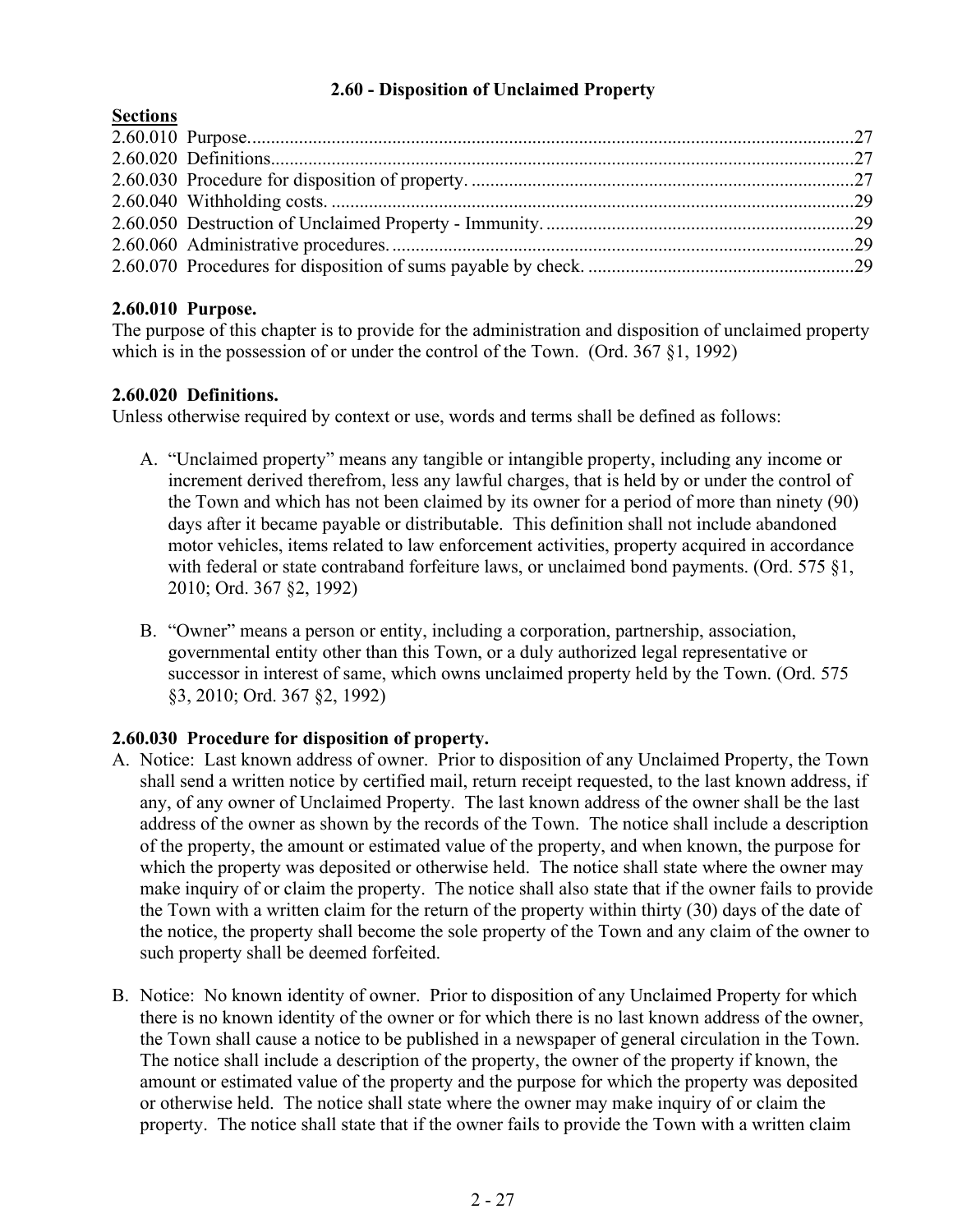## **2.60 - Disposition of Unclaimed Property**

## <span id="page-26-0"></span>**Sections**

# **2.60.010 Purpose.**

The purpose of this chapter is to provide for the administration and disposition of unclaimed property which is in the possession of or under the control of the Town. (Ord. 367 §1, 1992)

## **2.60.020 Definitions.**

Unless otherwise required by context or use, words and terms shall be defined as follows:

- A. "Unclaimed property" means any tangible or intangible property, including any income or increment derived therefrom, less any lawful charges, that is held by or under the control of the Town and which has not been claimed by its owner for a period of more than ninety (90) days after it became payable or distributable. This definition shall not include abandoned motor vehicles, items related to law enforcement activities, property acquired in accordance with federal or state contraband forfeiture laws, or unclaimed bond payments. (Ord. 575 §1, 2010; Ord. 367 §2, 1992)
- B. "Owner" means a person or entity, including a corporation, partnership, association, governmental entity other than this Town, or a duly authorized legal representative or successor in interest of same, which owns unclaimed property held by the Town. (Ord. 575 §3, 2010; Ord. 367 §2, 1992)

# **2.60.030 Procedure for disposition of property.**

- A. Notice: Last known address of owner. Prior to disposition of any Unclaimed Property, the Town shall send a written notice by certified mail, return receipt requested, to the last known address, if any, of any owner of Unclaimed Property. The last known address of the owner shall be the last address of the owner as shown by the records of the Town. The notice shall include a description of the property, the amount or estimated value of the property, and when known, the purpose for which the property was deposited or otherwise held. The notice shall state where the owner may make inquiry of or claim the property. The notice shall also state that if the owner fails to provide the Town with a written claim for the return of the property within thirty (30) days of the date of the notice, the property shall become the sole property of the Town and any claim of the owner to such property shall be deemed forfeited.
- B. Notice: No known identity of owner. Prior to disposition of any Unclaimed Property for which there is no known identity of the owner or for which there is no last known address of the owner, the Town shall cause a notice to be published in a newspaper of general circulation in the Town. The notice shall include a description of the property, the owner of the property if known, the amount or estimated value of the property and the purpose for which the property was deposited or otherwise held. The notice shall state where the owner may make inquiry of or claim the property. The notice shall state that if the owner fails to provide the Town with a written claim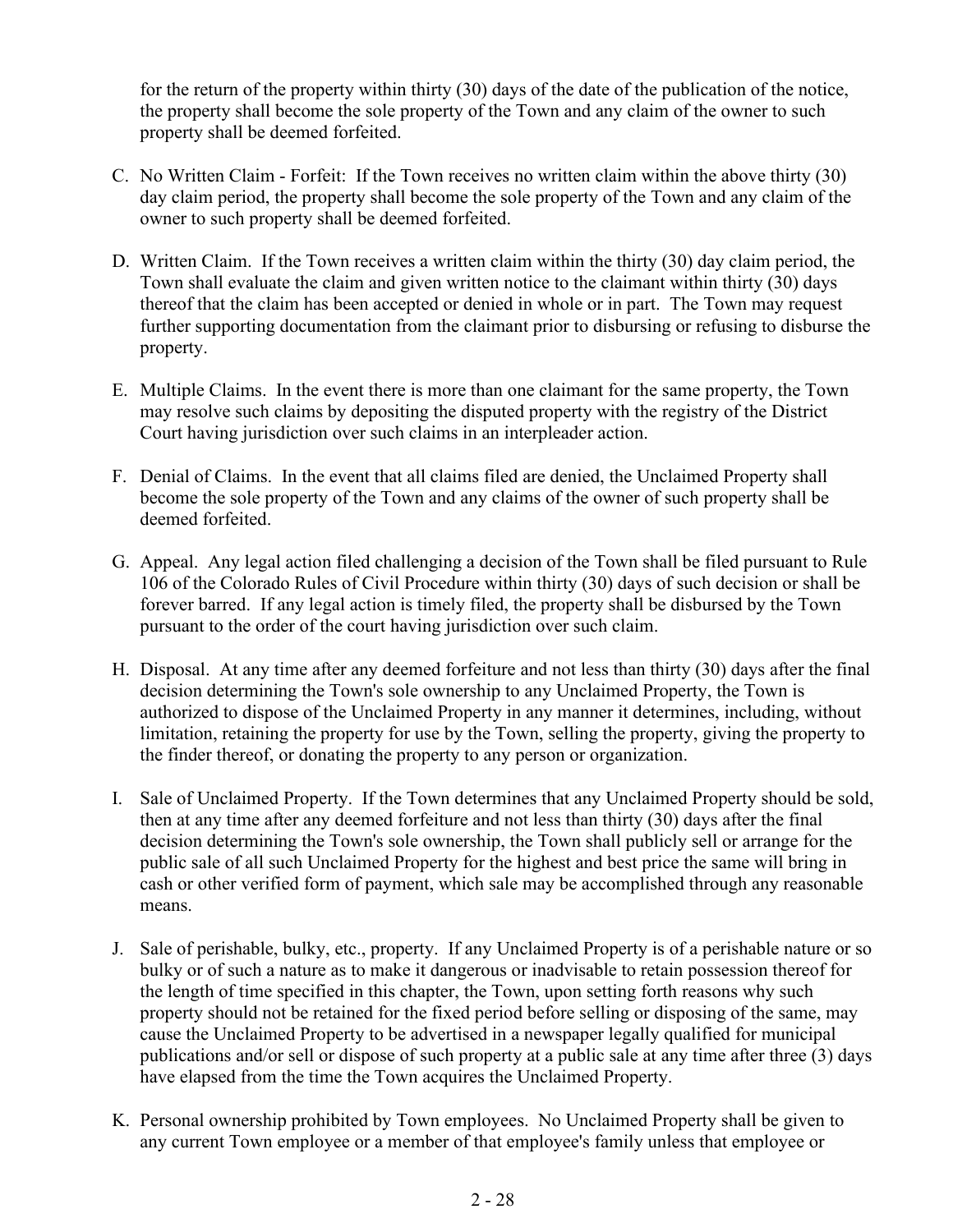for the return of the property within thirty (30) days of the date of the publication of the notice, the property shall become the sole property of the Town and any claim of the owner to such property shall be deemed forfeited.

- C. No Written Claim Forfeit: If the Town receives no written claim within the above thirty (30) day claim period, the property shall become the sole property of the Town and any claim of the owner to such property shall be deemed forfeited.
- D. Written Claim. If the Town receives a written claim within the thirty (30) day claim period, the Town shall evaluate the claim and given written notice to the claimant within thirty (30) days thereof that the claim has been accepted or denied in whole or in part. The Town may request further supporting documentation from the claimant prior to disbursing or refusing to disburse the property.
- E. Multiple Claims. In the event there is more than one claimant for the same property, the Town may resolve such claims by depositing the disputed property with the registry of the District Court having jurisdiction over such claims in an interpleader action.
- F. Denial of Claims. In the event that all claims filed are denied, the Unclaimed Property shall become the sole property of the Town and any claims of the owner of such property shall be deemed forfeited.
- G. Appeal. Any legal action filed challenging a decision of the Town shall be filed pursuant to Rule 106 of the Colorado Rules of Civil Procedure within thirty (30) days of such decision or shall be forever barred. If any legal action is timely filed, the property shall be disbursed by the Town pursuant to the order of the court having jurisdiction over such claim.
- H. Disposal. At any time after any deemed forfeiture and not less than thirty (30) days after the final decision determining the Town's sole ownership to any Unclaimed Property, the Town is authorized to dispose of the Unclaimed Property in any manner it determines, including, without limitation, retaining the property for use by the Town, selling the property, giving the property to the finder thereof, or donating the property to any person or organization.
- I. Sale of Unclaimed Property. If the Town determines that any Unclaimed Property should be sold, then at any time after any deemed forfeiture and not less than thirty (30) days after the final decision determining the Town's sole ownership, the Town shall publicly sell or arrange for the public sale of all such Unclaimed Property for the highest and best price the same will bring in cash or other verified form of payment, which sale may be accomplished through any reasonable means.
- J. Sale of perishable, bulky, etc., property. If any Unclaimed Property is of a perishable nature or so bulky or of such a nature as to make it dangerous or inadvisable to retain possession thereof for the length of time specified in this chapter, the Town, upon setting forth reasons why such property should not be retained for the fixed period before selling or disposing of the same, may cause the Unclaimed Property to be advertised in a newspaper legally qualified for municipal publications and/or sell or dispose of such property at a public sale at any time after three (3) days have elapsed from the time the Town acquires the Unclaimed Property.
- K. Personal ownership prohibited by Town employees. No Unclaimed Property shall be given to any current Town employee or a member of that employee's family unless that employee or